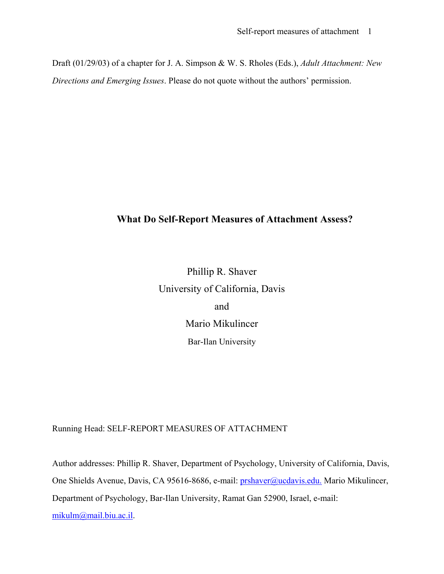Draft (01/29/03) of a chapter for J. A. Simpson & W. S. Rholes (Eds.), *Adult Attachment: New Directions and Emerging Issues*. Please do not quote without the authors' permission.

### **What Do Self-Report Measures of Attachment Assess?**

Phillip R. Shaver University of California, Davis and Mario Mikulincer Bar-Ilan University

Running Head: SELF-REPORT MEASURES OF ATTACHMENT

Author addresses: Phillip R. Shaver, Department of Psychology, University of California, Davis, One Shields Avenue, Davis, CA 95616-8686, e-mail: *prshaver@ucdavis.edu*. Mario Mikulincer, Department of Psychology, Bar-Ilan University, Ramat Gan 52900, Israel, e-mail: [mikulm@mail.biu.ac.il](mailto:mikulm@mail.biu.ac.il).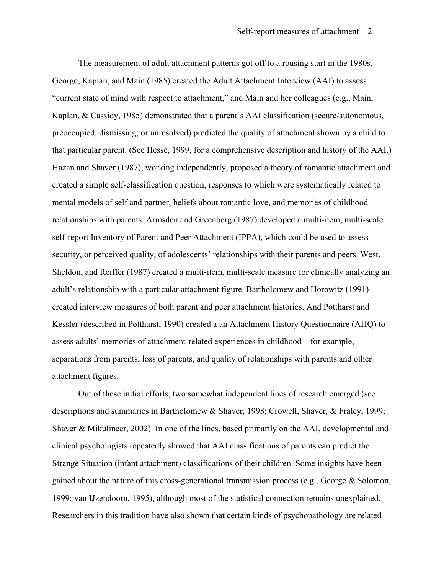The measurement of adult attachment patterns got off to a rousing start in the 1980s. George, Kaplan, and Main (1985) created the Adult Attachment Interview (AAI) to assess "current state of mind with respect to attachment," and Main and her colleagues (e.g., Main, Kaplan, & Cassidy, 1985) demonstrated that a parent's AAI classification (secure/autonomous, preoccupied, dismissing, or unresolved) predicted the quality of attachment shown by a child to that particular parent. (See Hesse, 1999, for a comprehensive description and history of the AAI.) Hazan and Shaver (1987), working independently, proposed a theory of romantic attachment and created a simple self-classification question, responses to which were systematically related to mental models of self and partner, beliefs about romantic love, and memories of childhood relationships with parents. Armsden and Greenberg (1987) developed a multi-item, multi-scale self-report Inventory of Parent and Peer Attachment (IPPA), which could be used to assess security, or perceived quality, of adolescents' relationships with their parents and peers. West, Sheldon, and Reiffer (1987) created a multi-item, multi-scale measure for clinically analyzing an adult's relationship with a particular attachment figure. Bartholomew and Horowitz (1991) created interview measures of both parent and peer attachment histories. And Pottharst and Kessler (described in Pottharst, 1990) created a an Attachment History Questionnaire (AHQ) to assess adults' memories of attachment-related experiences in childhood – for example, separations from parents, loss of parents, and quality of relationships with parents and other attachment figures.

Out of these initial efforts, two somewhat independent lines of research emerged (see descriptions and summaries in Bartholomew & Shaver, 1998; Crowell, Shaver, & Fraley, 1999; Shaver & Mikulincer, 2002). In one of the lines, based primarily on the AAI, developmental and clinical psychologists repeatedly showed that AAI classifications of parents can predict the Strange Situation (infant attachment) classifications of their children. Some insights have been gained about the nature of this cross-generational transmission process (e.g., George & Solomon, 1999; van IJzendoorn, 1995), although most of the statistical connection remains unexplained. Researchers in this tradition have also shown that certain kinds of psychopathology are related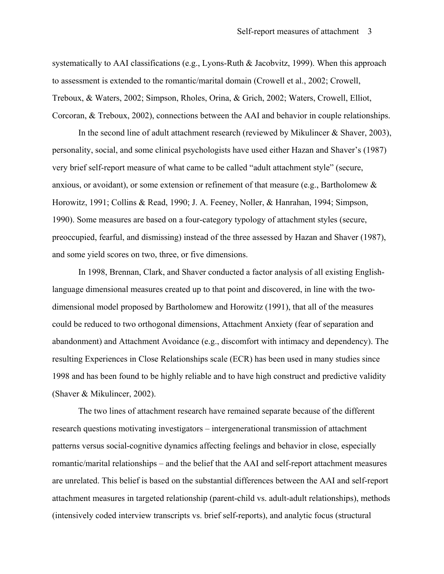systematically to AAI classifications (e.g., Lyons-Ruth & Jacobvitz, 1999). When this approach to assessment is extended to the romantic/marital domain (Crowell et al., 2002; Crowell, Treboux, & Waters, 2002; Simpson, Rholes, Orina, & Grich, 2002; Waters, Crowell, Elliot, Corcoran, & Treboux, 2002), connections between the AAI and behavior in couple relationships.

In the second line of adult attachment research (reviewed by Mikulincer & Shaver, 2003), personality, social, and some clinical psychologists have used either Hazan and Shaver's (1987) very brief self-report measure of what came to be called "adult attachment style" (secure, anxious, or avoidant), or some extension or refinement of that measure (e.g., Bartholomew & Horowitz, 1991; Collins & Read, 1990; J. A. Feeney, Noller, & Hanrahan, 1994; Simpson, 1990). Some measures are based on a four-category typology of attachment styles (secure, preoccupied, fearful, and dismissing) instead of the three assessed by Hazan and Shaver (1987), and some yield scores on two, three, or five dimensions.

In 1998, Brennan, Clark, and Shaver conducted a factor analysis of all existing Englishlanguage dimensional measures created up to that point and discovered, in line with the twodimensional model proposed by Bartholomew and Horowitz (1991), that all of the measures could be reduced to two orthogonal dimensions, Attachment Anxiety (fear of separation and abandonment) and Attachment Avoidance (e.g., discomfort with intimacy and dependency). The resulting Experiences in Close Relationships scale (ECR) has been used in many studies since 1998 and has been found to be highly reliable and to have high construct and predictive validity (Shaver & Mikulincer, 2002).

The two lines of attachment research have remained separate because of the different research questions motivating investigators – intergenerational transmission of attachment patterns versus social-cognitive dynamics affecting feelings and behavior in close, especially romantic/marital relationships – and the belief that the AAI and self-report attachment measures are unrelated. This belief is based on the substantial differences between the AAI and self-report attachment measures in targeted relationship (parent-child vs. adult-adult relationships), methods (intensively coded interview transcripts vs. brief self-reports), and analytic focus (structural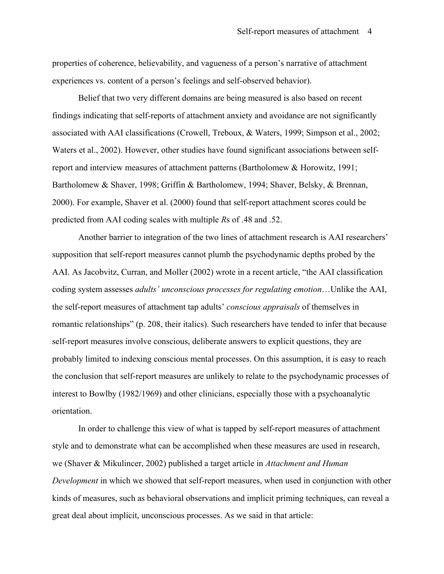properties of coherence, believability, and vagueness of a person's narrative of attachment experiences vs. content of a person's feelings and self-observed behavior).

Belief that two very different domains are being measured is also based on recent findings indicating that self-reports of attachment anxiety and avoidance are not significantly associated with AAI classifications (Crowell, Treboux, & Waters, 1999; Simpson et al., 2002; Waters et al., 2002). However, other studies have found significant associations between selfreport and interview measures of attachment patterns (Bartholomew & Horowitz, 1991; Bartholomew & Shaver, 1998; Griffin & Bartholomew, 1994; Shaver, Belsky, & Brennan, 2000). For example, Shaver et al. (2000) found that self-report attachment scores could be predicted from AAI coding scales with multiple *R*s of .48 and .52.

Another barrier to integration of the two lines of attachment research is AAI researchers' supposition that self-report measures cannot plumb the psychodynamic depths probed by the AAI. As Jacobvitz, Curran, and Moller (2002) wrote in a recent article, "the AAI classification coding system assesses *adults' unconscious processes for regulating emotion*…Unlike the AAI, the self-report measures of attachment tap adults' *conscious appraisals* of themselves in romantic relationships" (p. 208, their italics). Such researchers have tended to infer that because self-report measures involve conscious, deliberate answers to explicit questions, they are probably limited to indexing conscious mental processes. On this assumption, it is easy to reach the conclusion that self-report measures are unlikely to relate to the psychodynamic processes of interest to Bowlby (1982/1969) and other clinicians, especially those with a psychoanalytic orientation.

In order to challenge this view of what is tapped by self-report measures of attachment style and to demonstrate what can be accomplished when these measures are used in research, we (Shaver & Mikulincer, 2002) published a target article in *Attachment and Human Development* in which we showed that self-report measures, when used in conjunction with other kinds of measures, such as behavioral observations and implicit priming techniques, can reveal a great deal about implicit, unconscious processes. As we said in that article: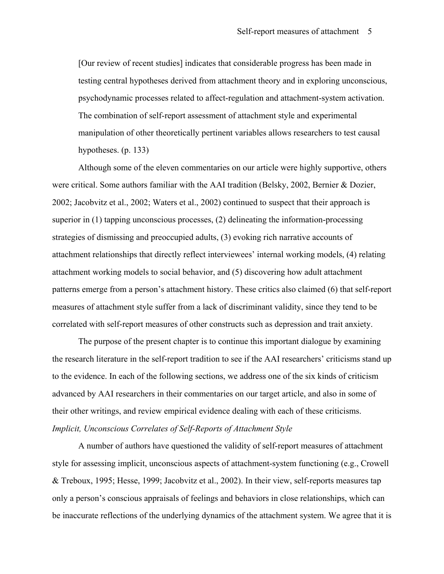[Our review of recent studies] indicates that considerable progress has been made in testing central hypotheses derived from attachment theory and in exploring unconscious, psychodynamic processes related to affect-regulation and attachment-system activation. The combination of self-report assessment of attachment style and experimental manipulation of other theoretically pertinent variables allows researchers to test causal hypotheses. (p. 133)

Although some of the eleven commentaries on our article were highly supportive, others were critical. Some authors familiar with the AAI tradition (Belsky, 2002, Bernier & Dozier, 2002; Jacobvitz et al., 2002; Waters et al., 2002) continued to suspect that their approach is superior in (1) tapping unconscious processes, (2) delineating the information-processing strategies of dismissing and preoccupied adults, (3) evoking rich narrative accounts of attachment relationships that directly reflect interviewees' internal working models, (4) relating attachment working models to social behavior, and (5) discovering how adult attachment patterns emerge from a person's attachment history. These critics also claimed (6) that self-report measures of attachment style suffer from a lack of discriminant validity, since they tend to be correlated with self-report measures of other constructs such as depression and trait anxiety.

The purpose of the present chapter is to continue this important dialogue by examining the research literature in the self-report tradition to see if the AAI researchers' criticisms stand up to the evidence. In each of the following sections, we address one of the six kinds of criticism advanced by AAI researchers in their commentaries on our target article, and also in some of their other writings, and review empirical evidence dealing with each of these criticisms. *Implicit, Unconscious Correlates of Self-Reports of Attachment Style* 

A number of authors have questioned the validity of self-report measures of attachment style for assessing implicit, unconscious aspects of attachment-system functioning (e.g., Crowell & Treboux, 1995; Hesse, 1999; Jacobvitz et al., 2002). In their view, self-reports measures tap only a person's conscious appraisals of feelings and behaviors in close relationships, which can be inaccurate reflections of the underlying dynamics of the attachment system. We agree that it is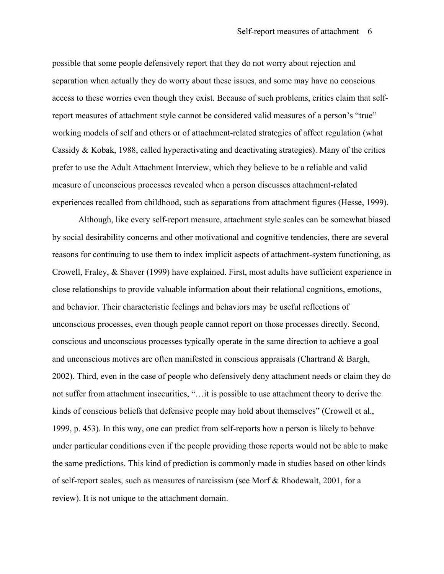possible that some people defensively report that they do not worry about rejection and separation when actually they do worry about these issues, and some may have no conscious access to these worries even though they exist. Because of such problems, critics claim that selfreport measures of attachment style cannot be considered valid measures of a person's "true" working models of self and others or of attachment-related strategies of affect regulation (what Cassidy & Kobak, 1988, called hyperactivating and deactivating strategies). Many of the critics prefer to use the Adult Attachment Interview, which they believe to be a reliable and valid measure of unconscious processes revealed when a person discusses attachment-related experiences recalled from childhood, such as separations from attachment figures (Hesse, 1999).

Although, like every self-report measure, attachment style scales can be somewhat biased by social desirability concerns and other motivational and cognitive tendencies, there are several reasons for continuing to use them to index implicit aspects of attachment-system functioning, as Crowell, Fraley, & Shaver (1999) have explained. First, most adults have sufficient experience in close relationships to provide valuable information about their relational cognitions, emotions, and behavior. Their characteristic feelings and behaviors may be useful reflections of unconscious processes, even though people cannot report on those processes directly. Second, conscious and unconscious processes typically operate in the same direction to achieve a goal and unconscious motives are often manifested in conscious appraisals (Chartrand & Bargh, 2002). Third, even in the case of people who defensively deny attachment needs or claim they do not suffer from attachment insecurities, "…it is possible to use attachment theory to derive the kinds of conscious beliefs that defensive people may hold about themselves" (Crowell et al., 1999, p. 453). In this way, one can predict from self-reports how a person is likely to behave under particular conditions even if the people providing those reports would not be able to make the same predictions. This kind of prediction is commonly made in studies based on other kinds of self-report scales, such as measures of narcissism (see Morf & Rhodewalt, 2001, for a review). It is not unique to the attachment domain.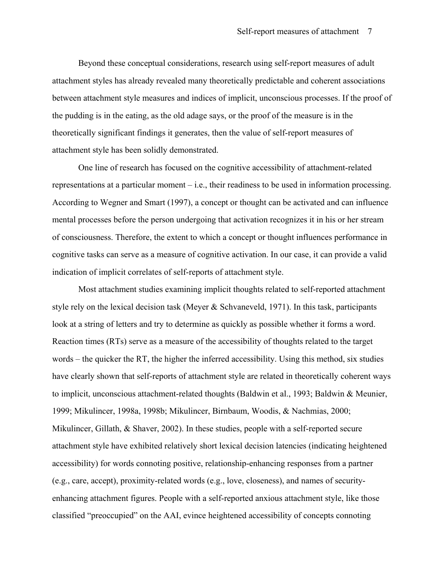Beyond these conceptual considerations, research using self-report measures of adult attachment styles has already revealed many theoretically predictable and coherent associations between attachment style measures and indices of implicit, unconscious processes. If the proof of the pudding is in the eating, as the old adage says, or the proof of the measure is in the theoretically significant findings it generates, then the value of self-report measures of attachment style has been solidly demonstrated.

One line of research has focused on the cognitive accessibility of attachment-related representations at a particular moment – i.e., their readiness to be used in information processing. According to Wegner and Smart (1997), a concept or thought can be activated and can influence mental processes before the person undergoing that activation recognizes it in his or her stream of consciousness. Therefore, the extent to which a concept or thought influences performance in cognitive tasks can serve as a measure of cognitive activation. In our case, it can provide a valid indication of implicit correlates of self-reports of attachment style.

Most attachment studies examining implicit thoughts related to self-reported attachment style rely on the lexical decision task (Meyer & Schvaneveld, 1971). In this task, participants look at a string of letters and try to determine as quickly as possible whether it forms a word. Reaction times (RTs) serve as a measure of the accessibility of thoughts related to the target words – the quicker the RT, the higher the inferred accessibility. Using this method, six studies have clearly shown that self-reports of attachment style are related in theoretically coherent ways to implicit, unconscious attachment-related thoughts (Baldwin et al., 1993; Baldwin & Meunier, 1999; Mikulincer, 1998a, 1998b; Mikulincer, Birnbaum, Woodis, & Nachmias, 2000; Mikulincer, Gillath, & Shaver, 2002). In these studies, people with a self-reported secure attachment style have exhibited relatively short lexical decision latencies (indicating heightened accessibility) for words connoting positive, relationship-enhancing responses from a partner (e.g., care, accept), proximity-related words (e.g., love, closeness), and names of securityenhancing attachment figures. People with a self-reported anxious attachment style, like those classified "preoccupied" on the AAI, evince heightened accessibility of concepts connoting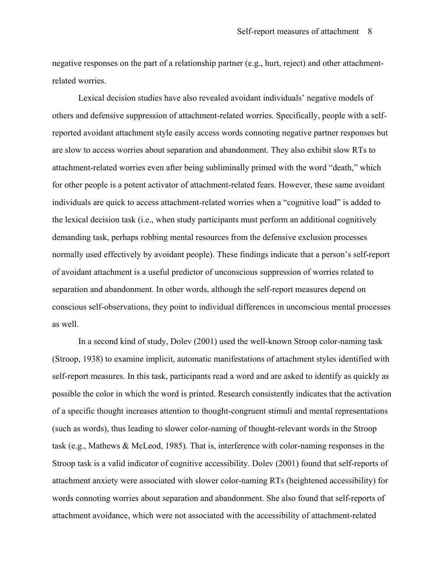negative responses on the part of a relationship partner (e.g., hurt, reject) and other attachmentrelated worries.

Lexical decision studies have also revealed avoidant individuals' negative models of others and defensive suppression of attachment-related worries. Specifically, people with a selfreported avoidant attachment style easily access words connoting negative partner responses but are slow to access worries about separation and abandonment. They also exhibit slow RTs to attachment-related worries even after being subliminally primed with the word "death," which for other people is a potent activator of attachment-related fears. However, these same avoidant individuals are quick to access attachment-related worries when a "cognitive load" is added to the lexical decision task (i.e., when study participants must perform an additional cognitively demanding task, perhaps robbing mental resources from the defensive exclusion processes normally used effectively by avoidant people). These findings indicate that a person's self-report of avoidant attachment is a useful predictor of unconscious suppression of worries related to separation and abandonment. In other words, although the self-report measures depend on conscious self-observations, they point to individual differences in unconscious mental processes as well.

In a second kind of study, Dolev (2001) used the well-known Stroop color-naming task (Stroop, 1938) to examine implicit, automatic manifestations of attachment styles identified with self-report measures. In this task, participants read a word and are asked to identify as quickly as possible the color in which the word is printed. Research consistently indicates that the activation of a specific thought increases attention to thought-congruent stimuli and mental representations (such as words), thus leading to slower color-naming of thought-relevant words in the Stroop task (e.g., Mathews & McLeod, 1985). That is, interference with color-naming responses in the Stroop task is a valid indicator of cognitive accessibility. Dolev (2001) found that self-reports of attachment anxiety were associated with slower color-naming RTs (heightened accessibility) for words connoting worries about separation and abandonment. She also found that self-reports of attachment avoidance, which were not associated with the accessibility of attachment-related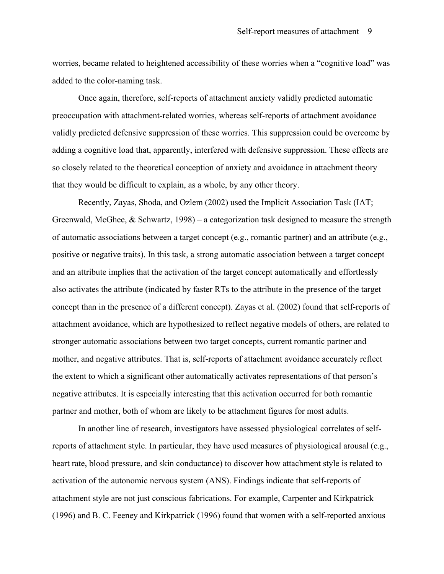worries, became related to heightened accessibility of these worries when a "cognitive load" was added to the color-naming task.

Once again, therefore, self-reports of attachment anxiety validly predicted automatic preoccupation with attachment-related worries, whereas self-reports of attachment avoidance validly predicted defensive suppression of these worries. This suppression could be overcome by adding a cognitive load that, apparently, interfered with defensive suppression. These effects are so closely related to the theoretical conception of anxiety and avoidance in attachment theory that they would be difficult to explain, as a whole, by any other theory.

Recently, Zayas, Shoda, and Ozlem (2002) used the Implicit Association Task (IAT; Greenwald, McGhee, & Schwartz, 1998) – a categorization task designed to measure the strength of automatic associations between a target concept (e.g., romantic partner) and an attribute (e.g., positive or negative traits). In this task, a strong automatic association between a target concept and an attribute implies that the activation of the target concept automatically and effortlessly also activates the attribute (indicated by faster RTs to the attribute in the presence of the target concept than in the presence of a different concept). Zayas et al. (2002) found that self-reports of attachment avoidance, which are hypothesized to reflect negative models of others, are related to stronger automatic associations between two target concepts, current romantic partner and mother, and negative attributes. That is, self-reports of attachment avoidance accurately reflect the extent to which a significant other automatically activates representations of that person's negative attributes. It is especially interesting that this activation occurred for both romantic partner and mother, both of whom are likely to be attachment figures for most adults.

In another line of research, investigators have assessed physiological correlates of selfreports of attachment style. In particular, they have used measures of physiological arousal (e.g., heart rate, blood pressure, and skin conductance) to discover how attachment style is related to activation of the autonomic nervous system (ANS). Findings indicate that self-reports of attachment style are not just conscious fabrications. For example, Carpenter and Kirkpatrick (1996) and B. C. Feeney and Kirkpatrick (1996) found that women with a self-reported anxious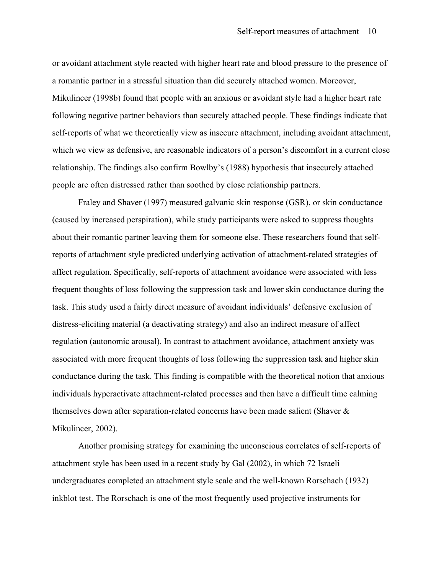or avoidant attachment style reacted with higher heart rate and blood pressure to the presence of a romantic partner in a stressful situation than did securely attached women. Moreover, Mikulincer (1998b) found that people with an anxious or avoidant style had a higher heart rate following negative partner behaviors than securely attached people. These findings indicate that self-reports of what we theoretically view as insecure attachment, including avoidant attachment, which we view as defensive, are reasonable indicators of a person's discomfort in a current close relationship. The findings also confirm Bowlby's (1988) hypothesis that insecurely attached people are often distressed rather than soothed by close relationship partners.

Fraley and Shaver (1997) measured galvanic skin response (GSR), or skin conductance (caused by increased perspiration), while study participants were asked to suppress thoughts about their romantic partner leaving them for someone else. These researchers found that selfreports of attachment style predicted underlying activation of attachment-related strategies of affect regulation. Specifically, self-reports of attachment avoidance were associated with less frequent thoughts of loss following the suppression task and lower skin conductance during the task. This study used a fairly direct measure of avoidant individuals' defensive exclusion of distress-eliciting material (a deactivating strategy) and also an indirect measure of affect regulation (autonomic arousal). In contrast to attachment avoidance, attachment anxiety was associated with more frequent thoughts of loss following the suppression task and higher skin conductance during the task. This finding is compatible with the theoretical notion that anxious individuals hyperactivate attachment-related processes and then have a difficult time calming themselves down after separation-related concerns have been made salient (Shaver & Mikulincer, 2002).

Another promising strategy for examining the unconscious correlates of self-reports of attachment style has been used in a recent study by Gal (2002), in which 72 Israeli undergraduates completed an attachment style scale and the well-known Rorschach (1932) inkblot test. The Rorschach is one of the most frequently used projective instruments for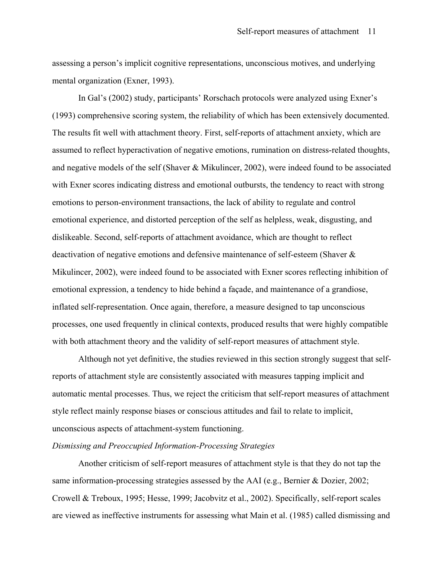assessing a person's implicit cognitive representations, unconscious motives, and underlying mental organization (Exner, 1993).

In Gal's (2002) study, participants' Rorschach protocols were analyzed using Exner's (1993) comprehensive scoring system, the reliability of which has been extensively documented. The results fit well with attachment theory. First, self-reports of attachment anxiety, which are assumed to reflect hyperactivation of negative emotions, rumination on distress-related thoughts, and negative models of the self (Shaver & Mikulincer, 2002), were indeed found to be associated with Exner scores indicating distress and emotional outbursts, the tendency to react with strong emotions to person-environment transactions, the lack of ability to regulate and control emotional experience, and distorted perception of the self as helpless, weak, disgusting, and dislikeable. Second, self-reports of attachment avoidance, which are thought to reflect deactivation of negative emotions and defensive maintenance of self-esteem (Shaver & Mikulincer, 2002), were indeed found to be associated with Exner scores reflecting inhibition of emotional expression, a tendency to hide behind a façade, and maintenance of a grandiose, inflated self-representation. Once again, therefore, a measure designed to tap unconscious processes, one used frequently in clinical contexts, produced results that were highly compatible with both attachment theory and the validity of self-report measures of attachment style.

Although not yet definitive, the studies reviewed in this section strongly suggest that selfreports of attachment style are consistently associated with measures tapping implicit and automatic mental processes. Thus, we reject the criticism that self-report measures of attachment style reflect mainly response biases or conscious attitudes and fail to relate to implicit, unconscious aspects of attachment-system functioning.

#### *Dismissing and Preoccupied Information-Processing Strategies*

Another criticism of self-report measures of attachment style is that they do not tap the same information-processing strategies assessed by the AAI (e.g., Bernier & Dozier, 2002; Crowell & Treboux, 1995; Hesse, 1999; Jacobvitz et al., 2002). Specifically, self-report scales are viewed as ineffective instruments for assessing what Main et al. (1985) called dismissing and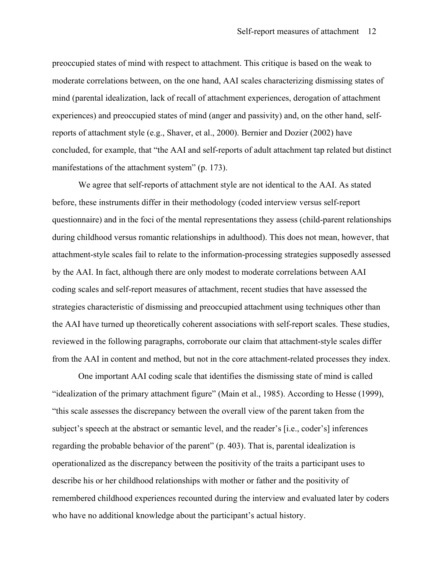preoccupied states of mind with respect to attachment. This critique is based on the weak to moderate correlations between, on the one hand, AAI scales characterizing dismissing states of mind (parental idealization, lack of recall of attachment experiences, derogation of attachment experiences) and preoccupied states of mind (anger and passivity) and, on the other hand, selfreports of attachment style (e.g., Shaver, et al., 2000). Bernier and Dozier (2002) have concluded, for example, that "the AAI and self-reports of adult attachment tap related but distinct manifestations of the attachment system" (p. 173).

We agree that self-reports of attachment style are not identical to the AAI. As stated before, these instruments differ in their methodology (coded interview versus self-report questionnaire) and in the foci of the mental representations they assess (child-parent relationships during childhood versus romantic relationships in adulthood). This does not mean, however, that attachment-style scales fail to relate to the information-processing strategies supposedly assessed by the AAI. In fact, although there are only modest to moderate correlations between AAI coding scales and self-report measures of attachment, recent studies that have assessed the strategies characteristic of dismissing and preoccupied attachment using techniques other than the AAI have turned up theoretically coherent associations with self-report scales. These studies, reviewed in the following paragraphs, corroborate our claim that attachment-style scales differ from the AAI in content and method, but not in the core attachment-related processes they index.

One important AAI coding scale that identifies the dismissing state of mind is called "idealization of the primary attachment figure" (Main et al., 1985). According to Hesse (1999), "this scale assesses the discrepancy between the overall view of the parent taken from the subject's speech at the abstract or semantic level, and the reader's [i.e., coder's] inferences regarding the probable behavior of the parent" (p. 403). That is, parental idealization is operationalized as the discrepancy between the positivity of the traits a participant uses to describe his or her childhood relationships with mother or father and the positivity of remembered childhood experiences recounted during the interview and evaluated later by coders who have no additional knowledge about the participant's actual history.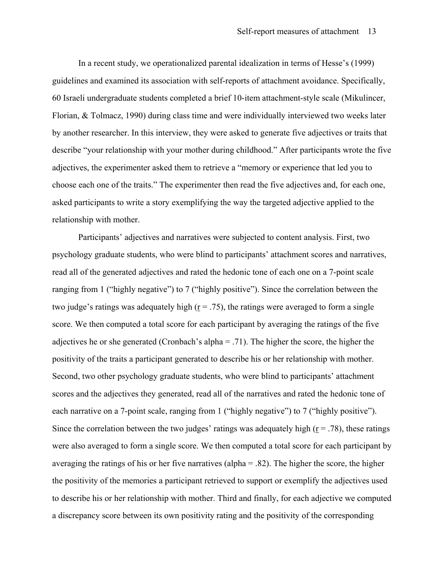In a recent study, we operationalized parental idealization in terms of Hesse's (1999) guidelines and examined its association with self-reports of attachment avoidance. Specifically, 60 Israeli undergraduate students completed a brief 10-item attachment-style scale (Mikulincer, Florian, & Tolmacz, 1990) during class time and were individually interviewed two weeks later by another researcher. In this interview, they were asked to generate five adjectives or traits that describe "your relationship with your mother during childhood." After participants wrote the five adjectives, the experimenter asked them to retrieve a "memory or experience that led you to choose each one of the traits." The experimenter then read the five adjectives and, for each one, asked participants to write a story exemplifying the way the targeted adjective applied to the relationship with mother.

Participants' adjectives and narratives were subjected to content analysis. First, two psychology graduate students, who were blind to participants' attachment scores and narratives, read all of the generated adjectives and rated the hedonic tone of each one on a 7-point scale ranging from 1 ("highly negative") to 7 ("highly positive"). Since the correlation between the two judge's ratings was adequately high ( $r = .75$ ), the ratings were averaged to form a single score. We then computed a total score for each participant by averaging the ratings of the five adjectives he or she generated (Cronbach's alpha = .71). The higher the score, the higher the positivity of the traits a participant generated to describe his or her relationship with mother. Second, two other psychology graduate students, who were blind to participants' attachment scores and the adjectives they generated, read all of the narratives and rated the hedonic tone of each narrative on a 7-point scale, ranging from 1 ("highly negative") to 7 ("highly positive"). Since the correlation between the two judges' ratings was adequately high ( $r = .78$ ), these ratings were also averaged to form a single score. We then computed a total score for each participant by averaging the ratings of his or her five narratives (alpha = .82). The higher the score, the higher the positivity of the memories a participant retrieved to support or exemplify the adjectives used to describe his or her relationship with mother. Third and finally, for each adjective we computed a discrepancy score between its own positivity rating and the positivity of the corresponding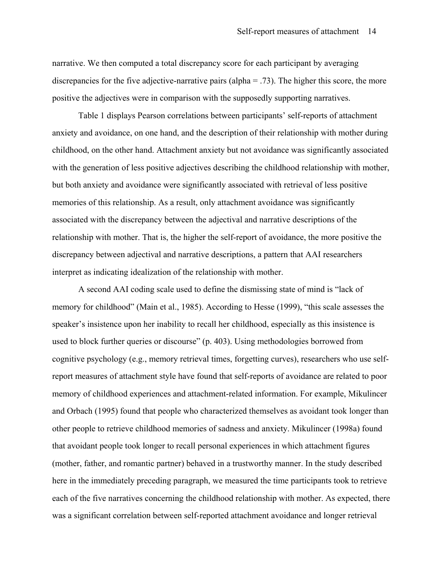narrative. We then computed a total discrepancy score for each participant by averaging discrepancies for the five adjective-narrative pairs (alpha  $=$  .73). The higher this score, the more positive the adjectives were in comparison with the supposedly supporting narratives.

Table 1 displays Pearson correlations between participants' self-reports of attachment anxiety and avoidance, on one hand, and the description of their relationship with mother during childhood, on the other hand. Attachment anxiety but not avoidance was significantly associated with the generation of less positive adjectives describing the childhood relationship with mother, but both anxiety and avoidance were significantly associated with retrieval of less positive memories of this relationship. As a result, only attachment avoidance was significantly associated with the discrepancy between the adjectival and narrative descriptions of the relationship with mother. That is, the higher the self-report of avoidance, the more positive the discrepancy between adjectival and narrative descriptions, a pattern that AAI researchers interpret as indicating idealization of the relationship with mother.

A second AAI coding scale used to define the dismissing state of mind is "lack of memory for childhood" (Main et al., 1985). According to Hesse (1999), "this scale assesses the speaker's insistence upon her inability to recall her childhood, especially as this insistence is used to block further queries or discourse" (p. 403). Using methodologies borrowed from cognitive psychology (e.g., memory retrieval times, forgetting curves), researchers who use selfreport measures of attachment style have found that self-reports of avoidance are related to poor memory of childhood experiences and attachment-related information. For example, Mikulincer and Orbach (1995) found that people who characterized themselves as avoidant took longer than other people to retrieve childhood memories of sadness and anxiety. Mikulincer (1998a) found that avoidant people took longer to recall personal experiences in which attachment figures (mother, father, and romantic partner) behaved in a trustworthy manner. In the study described here in the immediately preceding paragraph, we measured the time participants took to retrieve each of the five narratives concerning the childhood relationship with mother. As expected, there was a significant correlation between self-reported attachment avoidance and longer retrieval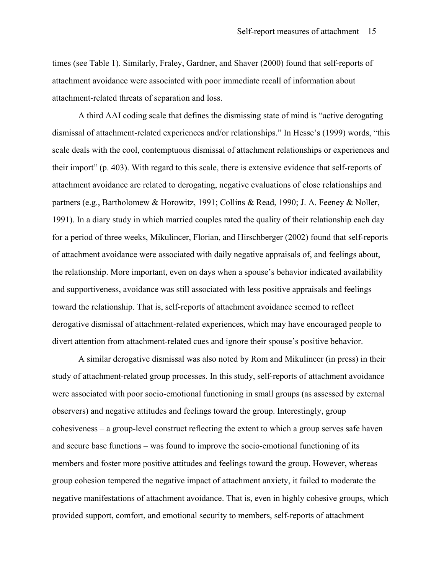times (see Table 1). Similarly, Fraley, Gardner, and Shaver (2000) found that self-reports of attachment avoidance were associated with poor immediate recall of information about attachment-related threats of separation and loss.

A third AAI coding scale that defines the dismissing state of mind is "active derogating dismissal of attachment-related experiences and/or relationships." In Hesse's (1999) words, "this scale deals with the cool, contemptuous dismissal of attachment relationships or experiences and their import" (p. 403). With regard to this scale, there is extensive evidence that self-reports of attachment avoidance are related to derogating, negative evaluations of close relationships and partners (e.g., Bartholomew & Horowitz, 1991; Collins & Read, 1990; J. A. Feeney & Noller, 1991). In a diary study in which married couples rated the quality of their relationship each day for a period of three weeks, Mikulincer, Florian, and Hirschberger (2002) found that self-reports of attachment avoidance were associated with daily negative appraisals of, and feelings about, the relationship. More important, even on days when a spouse's behavior indicated availability and supportiveness, avoidance was still associated with less positive appraisals and feelings toward the relationship. That is, self-reports of attachment avoidance seemed to reflect derogative dismissal of attachment-related experiences, which may have encouraged people to divert attention from attachment-related cues and ignore their spouse's positive behavior.

A similar derogative dismissal was also noted by Rom and Mikulincer (in press) in their study of attachment-related group processes. In this study, self-reports of attachment avoidance were associated with poor socio-emotional functioning in small groups (as assessed by external observers) and negative attitudes and feelings toward the group. Interestingly, group cohesiveness – a group-level construct reflecting the extent to which a group serves safe haven and secure base functions – was found to improve the socio-emotional functioning of its members and foster more positive attitudes and feelings toward the group. However, whereas group cohesion tempered the negative impact of attachment anxiety, it failed to moderate the negative manifestations of attachment avoidance. That is, even in highly cohesive groups, which provided support, comfort, and emotional security to members, self-reports of attachment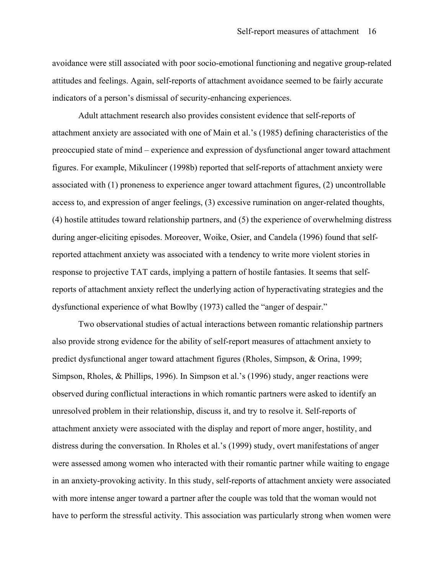avoidance were still associated with poor socio-emotional functioning and negative group-related attitudes and feelings. Again, self-reports of attachment avoidance seemed to be fairly accurate indicators of a person's dismissal of security-enhancing experiences.

Adult attachment research also provides consistent evidence that self-reports of attachment anxiety are associated with one of Main et al.'s (1985) defining characteristics of the preoccupied state of mind – experience and expression of dysfunctional anger toward attachment figures. For example, Mikulincer (1998b) reported that self-reports of attachment anxiety were associated with (1) proneness to experience anger toward attachment figures, (2) uncontrollable access to, and expression of anger feelings, (3) excessive rumination on anger-related thoughts, (4) hostile attitudes toward relationship partners, and (5) the experience of overwhelming distress during anger-eliciting episodes. Moreover, Woike, Osier, and Candela (1996) found that selfreported attachment anxiety was associated with a tendency to write more violent stories in response to projective TAT cards, implying a pattern of hostile fantasies. It seems that selfreports of attachment anxiety reflect the underlying action of hyperactivating strategies and the dysfunctional experience of what Bowlby (1973) called the "anger of despair."

Two observational studies of actual interactions between romantic relationship partners also provide strong evidence for the ability of self-report measures of attachment anxiety to predict dysfunctional anger toward attachment figures (Rholes, Simpson, & Orina, 1999; Simpson, Rholes, & Phillips, 1996). In Simpson et al.'s (1996) study, anger reactions were observed during conflictual interactions in which romantic partners were asked to identify an unresolved problem in their relationship, discuss it, and try to resolve it. Self-reports of attachment anxiety were associated with the display and report of more anger, hostility, and distress during the conversation. In Rholes et al.'s (1999) study, overt manifestations of anger were assessed among women who interacted with their romantic partner while waiting to engage in an anxiety-provoking activity. In this study, self-reports of attachment anxiety were associated with more intense anger toward a partner after the couple was told that the woman would not have to perform the stressful activity. This association was particularly strong when women were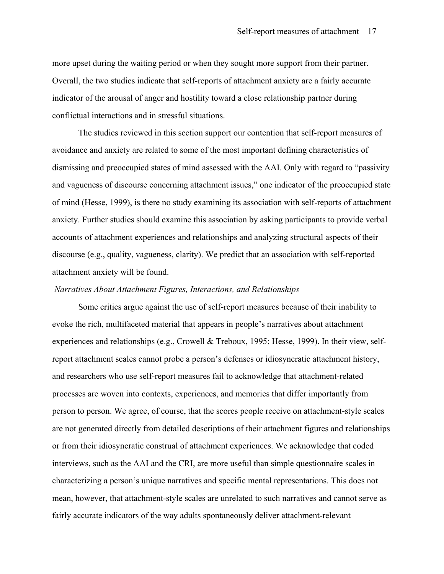more upset during the waiting period or when they sought more support from their partner. Overall, the two studies indicate that self-reports of attachment anxiety are a fairly accurate indicator of the arousal of anger and hostility toward a close relationship partner during conflictual interactions and in stressful situations.

The studies reviewed in this section support our contention that self-report measures of avoidance and anxiety are related to some of the most important defining characteristics of dismissing and preoccupied states of mind assessed with the AAI. Only with regard to "passivity and vagueness of discourse concerning attachment issues," one indicator of the preoccupied state of mind (Hesse, 1999), is there no study examining its association with self-reports of attachment anxiety. Further studies should examine this association by asking participants to provide verbal accounts of attachment experiences and relationships and analyzing structural aspects of their discourse (e.g., quality, vagueness, clarity). We predict that an association with self-reported attachment anxiety will be found.

#### *Narratives About Attachment Figures, Interactions, and Relationships*

Some critics argue against the use of self-report measures because of their inability to evoke the rich, multifaceted material that appears in people's narratives about attachment experiences and relationships (e.g., Crowell & Treboux, 1995; Hesse, 1999). In their view, selfreport attachment scales cannot probe a person's defenses or idiosyncratic attachment history, and researchers who use self-report measures fail to acknowledge that attachment-related processes are woven into contexts, experiences, and memories that differ importantly from person to person. We agree, of course, that the scores people receive on attachment-style scales are not generated directly from detailed descriptions of their attachment figures and relationships or from their idiosyncratic construal of attachment experiences. We acknowledge that coded interviews, such as the AAI and the CRI, are more useful than simple questionnaire scales in characterizing a person's unique narratives and specific mental representations. This does not mean, however, that attachment-style scales are unrelated to such narratives and cannot serve as fairly accurate indicators of the way adults spontaneously deliver attachment-relevant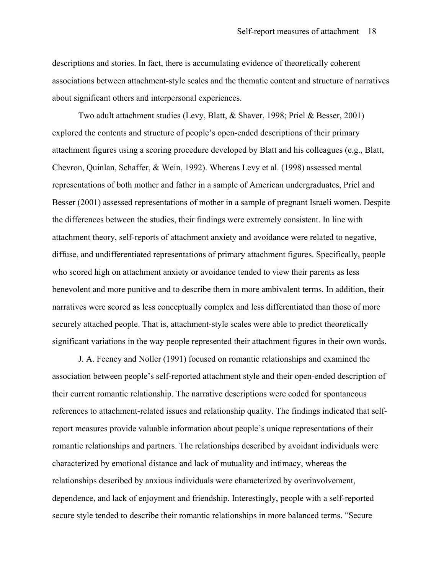descriptions and stories. In fact, there is accumulating evidence of theoretically coherent associations between attachment-style scales and the thematic content and structure of narratives about significant others and interpersonal experiences.

Two adult attachment studies (Levy, Blatt, & Shaver, 1998; Priel & Besser, 2001) explored the contents and structure of people's open-ended descriptions of their primary attachment figures using a scoring procedure developed by Blatt and his colleagues (e.g., Blatt, Chevron, Quinlan, Schaffer, & Wein, 1992). Whereas Levy et al. (1998) assessed mental representations of both mother and father in a sample of American undergraduates, Priel and Besser (2001) assessed representations of mother in a sample of pregnant Israeli women. Despite the differences between the studies, their findings were extremely consistent. In line with attachment theory, self-reports of attachment anxiety and avoidance were related to negative, diffuse, and undifferentiated representations of primary attachment figures. Specifically, people who scored high on attachment anxiety or avoidance tended to view their parents as less benevolent and more punitive and to describe them in more ambivalent terms. In addition, their narratives were scored as less conceptually complex and less differentiated than those of more securely attached people. That is, attachment-style scales were able to predict theoretically significant variations in the way people represented their attachment figures in their own words.

J. A. Feeney and Noller (1991) focused on romantic relationships and examined the association between people's self-reported attachment style and their open-ended description of their current romantic relationship. The narrative descriptions were coded for spontaneous references to attachment-related issues and relationship quality. The findings indicated that selfreport measures provide valuable information about people's unique representations of their romantic relationships and partners. The relationships described by avoidant individuals were characterized by emotional distance and lack of mutuality and intimacy, whereas the relationships described by anxious individuals were characterized by overinvolvement, dependence, and lack of enjoyment and friendship. Interestingly, people with a self-reported secure style tended to describe their romantic relationships in more balanced terms. "Secure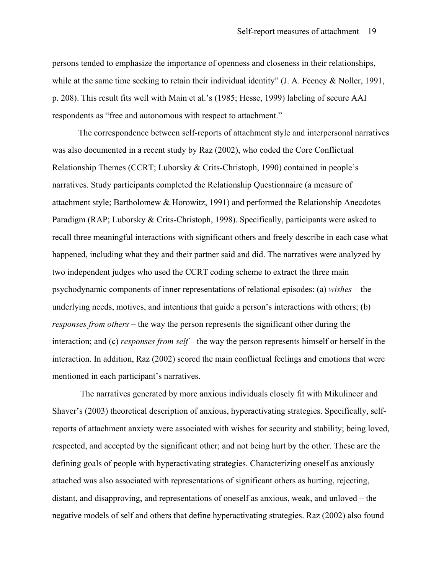persons tended to emphasize the importance of openness and closeness in their relationships, while at the same time seeking to retain their individual identity" (J. A. Feeney & Noller, 1991, p. 208). This result fits well with Main et al.'s (1985; Hesse, 1999) labeling of secure AAI respondents as "free and autonomous with respect to attachment."

The correspondence between self-reports of attachment style and interpersonal narratives was also documented in a recent study by Raz (2002), who coded the Core Conflictual Relationship Themes (CCRT; Luborsky & Crits-Christoph, 1990) contained in people's narratives. Study participants completed the Relationship Questionnaire (a measure of attachment style; Bartholomew & Horowitz, 1991) and performed the Relationship Anecdotes Paradigm (RAP; Luborsky & Crits-Christoph, 1998). Specifically, participants were asked to recall three meaningful interactions with significant others and freely describe in each case what happened, including what they and their partner said and did. The narratives were analyzed by two independent judges who used the CCRT coding scheme to extract the three main psychodynamic components of inner representations of relational episodes: (a) *wishes* – the underlying needs, motives, and intentions that guide a person's interactions with others; (b) *responses from others* – the way the person represents the significant other during the interaction; and (c) *responses from self* – the way the person represents himself or herself in the interaction. In addition, Raz (2002) scored the main conflictual feelings and emotions that were mentioned in each participant's narratives.

 The narratives generated by more anxious individuals closely fit with Mikulincer and Shaver's (2003) theoretical description of anxious, hyperactivating strategies. Specifically, selfreports of attachment anxiety were associated with wishes for security and stability; being loved, respected, and accepted by the significant other; and not being hurt by the other. These are the defining goals of people with hyperactivating strategies. Characterizing oneself as anxiously attached was also associated with representations of significant others as hurting, rejecting, distant, and disapproving, and representations of oneself as anxious, weak, and unloved – the negative models of self and others that define hyperactivating strategies. Raz (2002) also found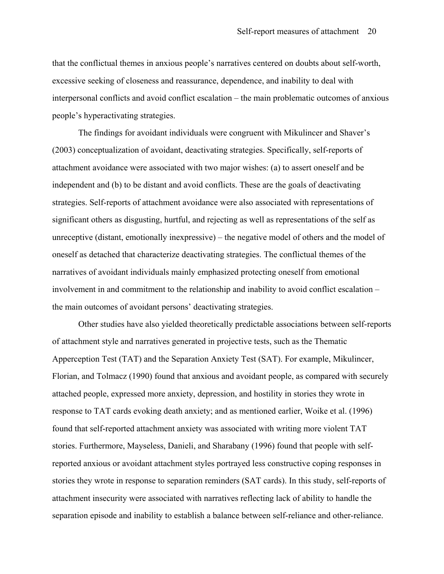that the conflictual themes in anxious people's narratives centered on doubts about self-worth, excessive seeking of closeness and reassurance, dependence, and inability to deal with interpersonal conflicts and avoid conflict escalation – the main problematic outcomes of anxious people's hyperactivating strategies.

The findings for avoidant individuals were congruent with Mikulincer and Shaver's (2003) conceptualization of avoidant, deactivating strategies. Specifically, self-reports of attachment avoidance were associated with two major wishes: (a) to assert oneself and be independent and (b) to be distant and avoid conflicts. These are the goals of deactivating strategies. Self-reports of attachment avoidance were also associated with representations of significant others as disgusting, hurtful, and rejecting as well as representations of the self as unreceptive (distant, emotionally inexpressive) – the negative model of others and the model of oneself as detached that characterize deactivating strategies. The conflictual themes of the narratives of avoidant individuals mainly emphasized protecting oneself from emotional involvement in and commitment to the relationship and inability to avoid conflict escalation – the main outcomes of avoidant persons' deactivating strategies.

Other studies have also yielded theoretically predictable associations between self-reports of attachment style and narratives generated in projective tests, such as the Thematic Apperception Test (TAT) and the Separation Anxiety Test (SAT). For example, Mikulincer, Florian, and Tolmacz (1990) found that anxious and avoidant people, as compared with securely attached people, expressed more anxiety, depression, and hostility in stories they wrote in response to TAT cards evoking death anxiety; and as mentioned earlier, Woike et al. (1996) found that self-reported attachment anxiety was associated with writing more violent TAT stories. Furthermore, Mayseless, Danieli, and Sharabany (1996) found that people with selfreported anxious or avoidant attachment styles portrayed less constructive coping responses in stories they wrote in response to separation reminders (SAT cards). In this study, self-reports of attachment insecurity were associated with narratives reflecting lack of ability to handle the separation episode and inability to establish a balance between self-reliance and other-reliance.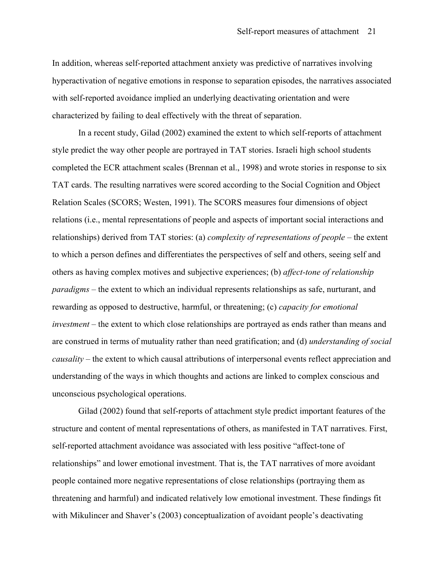In addition, whereas self-reported attachment anxiety was predictive of narratives involving hyperactivation of negative emotions in response to separation episodes, the narratives associated with self-reported avoidance implied an underlying deactivating orientation and were characterized by failing to deal effectively with the threat of separation.

In a recent study, Gilad (2002) examined the extent to which self-reports of attachment style predict the way other people are portrayed in TAT stories. Israeli high school students completed the ECR attachment scales (Brennan et al., 1998) and wrote stories in response to six TAT cards. The resulting narratives were scored according to the Social Cognition and Object Relation Scales (SCORS; Westen, 1991). The SCORS measures four dimensions of object relations (i.e., mental representations of people and aspects of important social interactions and relationships) derived from TAT stories: (a) *complexity of representations of people* – the extent to which a person defines and differentiates the perspectives of self and others, seeing self and others as having complex motives and subjective experiences; (b) *affect-tone of relationship paradigms* – the extent to which an individual represents relationships as safe, nurturant, and rewarding as opposed to destructive, harmful, or threatening; (c) *capacity for emotional investment* – the extent to which close relationships are portrayed as ends rather than means and are construed in terms of mutuality rather than need gratification; and (d) *understanding of social causality* – the extent to which causal attributions of interpersonal events reflect appreciation and understanding of the ways in which thoughts and actions are linked to complex conscious and unconscious psychological operations.

Gilad (2002) found that self-reports of attachment style predict important features of the structure and content of mental representations of others, as manifested in TAT narratives. First, self-reported attachment avoidance was associated with less positive "affect-tone of relationships" and lower emotional investment. That is, the TAT narratives of more avoidant people contained more negative representations of close relationships (portraying them as threatening and harmful) and indicated relatively low emotional investment. These findings fit with Mikulincer and Shaver's (2003) conceptualization of avoidant people's deactivating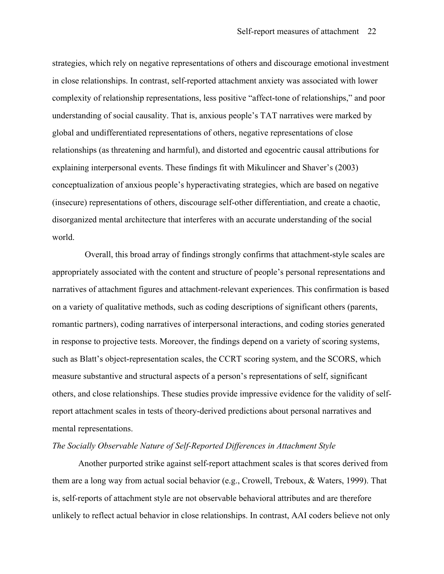strategies, which rely on negative representations of others and discourage emotional investment in close relationships. In contrast, self-reported attachment anxiety was associated with lower complexity of relationship representations, less positive "affect-tone of relationships," and poor understanding of social causality. That is, anxious people's TAT narratives were marked by global and undifferentiated representations of others, negative representations of close relationships (as threatening and harmful), and distorted and egocentric causal attributions for explaining interpersonal events. These findings fit with Mikulincer and Shaver's (2003) conceptualization of anxious people's hyperactivating strategies, which are based on negative (insecure) representations of others, discourage self-other differentiation, and create a chaotic, disorganized mental architecture that interferes with an accurate understanding of the social world.

 Overall, this broad array of findings strongly confirms that attachment-style scales are appropriately associated with the content and structure of people's personal representations and narratives of attachment figures and attachment-relevant experiences. This confirmation is based on a variety of qualitative methods, such as coding descriptions of significant others (parents, romantic partners), coding narratives of interpersonal interactions, and coding stories generated in response to projective tests. Moreover, the findings depend on a variety of scoring systems, such as Blatt's object-representation scales, the CCRT scoring system, and the SCORS, which measure substantive and structural aspects of a person's representations of self, significant others, and close relationships. These studies provide impressive evidence for the validity of selfreport attachment scales in tests of theory-derived predictions about personal narratives and mental representations.

#### *The Socially Observable Nature of Self-Reported Differences in Attachment Style*

Another purported strike against self-report attachment scales is that scores derived from them are a long way from actual social behavior (e.g., Crowell, Treboux, & Waters, 1999). That is, self-reports of attachment style are not observable behavioral attributes and are therefore unlikely to reflect actual behavior in close relationships. In contrast, AAI coders believe not only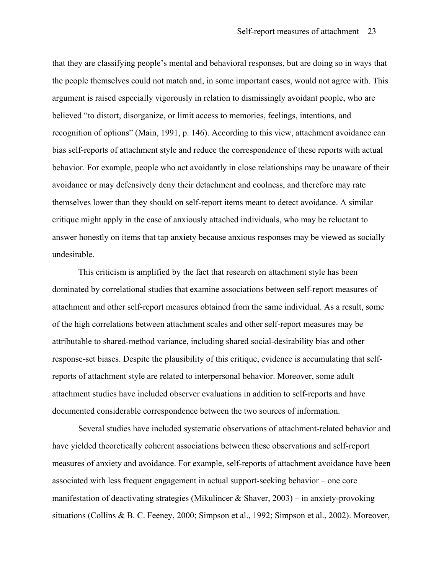that they are classifying people's mental and behavioral responses, but are doing so in ways that the people themselves could not match and, in some important cases, would not agree with. This argument is raised especially vigorously in relation to dismissingly avoidant people, who are believed "to distort, disorganize, or limit access to memories, feelings, intentions, and recognition of options" (Main, 1991, p. 146). According to this view, attachment avoidance can bias self-reports of attachment style and reduce the correspondence of these reports with actual behavior. For example, people who act avoidantly in close relationships may be unaware of their avoidance or may defensively deny their detachment and coolness, and therefore may rate themselves lower than they should on self-report items meant to detect avoidance. A similar critique might apply in the case of anxiously attached individuals, who may be reluctant to answer honestly on items that tap anxiety because anxious responses may be viewed as socially undesirable.

This criticism is amplified by the fact that research on attachment style has been dominated by correlational studies that examine associations between self-report measures of attachment and other self-report measures obtained from the same individual. As a result, some of the high correlations between attachment scales and other self-report measures may be attributable to shared-method variance, including shared social-desirability bias and other response-set biases. Despite the plausibility of this critique, evidence is accumulating that selfreports of attachment style are related to interpersonal behavior. Moreover, some adult attachment studies have included observer evaluations in addition to self-reports and have documented considerable correspondence between the two sources of information.

Several studies have included systematic observations of attachment-related behavior and have yielded theoretically coherent associations between these observations and self-report measures of anxiety and avoidance. For example, self-reports of attachment avoidance have been associated with less frequent engagement in actual support-seeking behavior – one core manifestation of deactivating strategies (Mikulincer & Shaver,  $2003$ ) – in anxiety-provoking situations (Collins & B. C. Feeney, 2000; Simpson et al., 1992; Simpson et al., 2002). Moreover,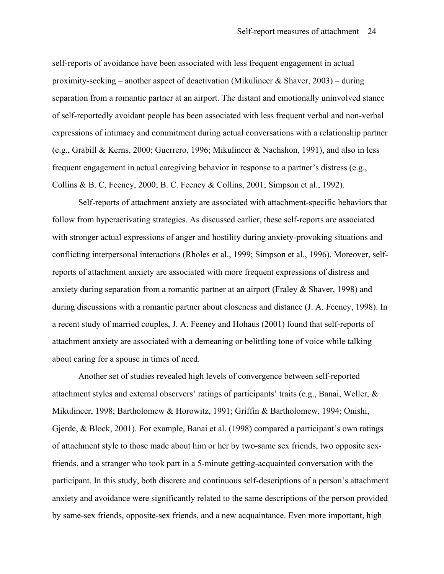self-reports of avoidance have been associated with less frequent engagement in actual proximity-seeking – another aspect of deactivation (Mikulincer & Shaver,  $2003$ ) – during separation from a romantic partner at an airport. The distant and emotionally uninvolved stance of self-reportedly avoidant people has been associated with less frequent verbal and non-verbal expressions of intimacy and commitment during actual conversations with a relationship partner (e.g., Grabill & Kerns, 2000; Guerrero, 1996; Mikulincer & Nachshon, 1991), and also in less frequent engagement in actual caregiving behavior in response to a partner's distress (e.g., Collins & B. C. Feeney, 2000; B. C. Feeney & Collins, 2001; Simpson et al., 1992).

Self-reports of attachment anxiety are associated with attachment-specific behaviors that follow from hyperactivating strategies. As discussed earlier, these self-reports are associated with stronger actual expressions of anger and hostility during anxiety-provoking situations and conflicting interpersonal interactions (Rholes et al., 1999; Simpson et al., 1996). Moreover, selfreports of attachment anxiety are associated with more frequent expressions of distress and anxiety during separation from a romantic partner at an airport (Fraley & Shaver, 1998) and during discussions with a romantic partner about closeness and distance (J. A. Feeney, 1998). In a recent study of married couples, J. A. Feeney and Hohaus (2001) found that self-reports of attachment anxiety are associated with a demeaning or belittling tone of voice while talking about caring for a spouse in times of need.

Another set of studies revealed high levels of convergence between self-reported attachment styles and external observers' ratings of participants' traits (e.g., Banai, Weller, & Mikulincer, 1998; Bartholomew & Horowitz, 1991; Griffin & Bartholomew, 1994; Onishi, Gjerde, & Block, 2001). For example, Banai et al. (1998) compared a participant's own ratings of attachment style to those made about him or her by two-same sex friends, two opposite sexfriends, and a stranger who took part in a 5-minute getting-acquainted conversation with the participant. In this study, both discrete and continuous self-descriptions of a person's attachment anxiety and avoidance were significantly related to the same descriptions of the person provided by same-sex friends, opposite-sex friends, and a new acquaintance. Even more important, high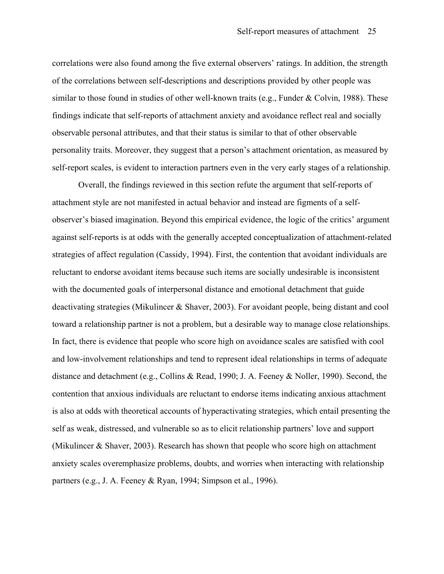correlations were also found among the five external observers' ratings. In addition, the strength of the correlations between self-descriptions and descriptions provided by other people was similar to those found in studies of other well-known traits (e.g., Funder & Colvin, 1988). These findings indicate that self-reports of attachment anxiety and avoidance reflect real and socially observable personal attributes, and that their status is similar to that of other observable personality traits. Moreover, they suggest that a person's attachment orientation, as measured by self-report scales, is evident to interaction partners even in the very early stages of a relationship.

Overall, the findings reviewed in this section refute the argument that self-reports of attachment style are not manifested in actual behavior and instead are figments of a selfobserver's biased imagination. Beyond this empirical evidence, the logic of the critics' argument against self-reports is at odds with the generally accepted conceptualization of attachment-related strategies of affect regulation (Cassidy, 1994). First, the contention that avoidant individuals are reluctant to endorse avoidant items because such items are socially undesirable is inconsistent with the documented goals of interpersonal distance and emotional detachment that guide deactivating strategies (Mikulincer & Shaver, 2003). For avoidant people, being distant and cool toward a relationship partner is not a problem, but a desirable way to manage close relationships. In fact, there is evidence that people who score high on avoidance scales are satisfied with cool and low-involvement relationships and tend to represent ideal relationships in terms of adequate distance and detachment (e.g., Collins & Read, 1990; J. A. Feeney & Noller, 1990). Second, the contention that anxious individuals are reluctant to endorse items indicating anxious attachment is also at odds with theoretical accounts of hyperactivating strategies, which entail presenting the self as weak, distressed, and vulnerable so as to elicit relationship partners' love and support (Mikulincer & Shaver, 2003). Research has shown that people who score high on attachment anxiety scales overemphasize problems, doubts, and worries when interacting with relationship partners (e.g., J. A. Feeney & Ryan, 1994; Simpson et al., 1996).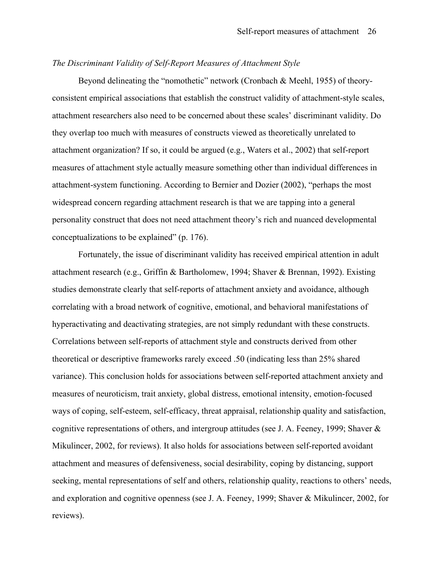#### *The Discriminant Validity of Self-Report Measures of Attachment Style*

Beyond delineating the "nomothetic" network (Cronbach & Meehl, 1955) of theoryconsistent empirical associations that establish the construct validity of attachment-style scales, attachment researchers also need to be concerned about these scales' discriminant validity. Do they overlap too much with measures of constructs viewed as theoretically unrelated to attachment organization? If so, it could be argued (e.g., Waters et al., 2002) that self-report measures of attachment style actually measure something other than individual differences in attachment-system functioning. According to Bernier and Dozier (2002), "perhaps the most widespread concern regarding attachment research is that we are tapping into a general personality construct that does not need attachment theory's rich and nuanced developmental conceptualizations to be explained" (p. 176).

Fortunately, the issue of discriminant validity has received empirical attention in adult attachment research (e.g., Griffin & Bartholomew, 1994; Shaver & Brennan, 1992). Existing studies demonstrate clearly that self-reports of attachment anxiety and avoidance, although correlating with a broad network of cognitive, emotional, and behavioral manifestations of hyperactivating and deactivating strategies, are not simply redundant with these constructs. Correlations between self-reports of attachment style and constructs derived from other theoretical or descriptive frameworks rarely exceed .50 (indicating less than 25% shared variance). This conclusion holds for associations between self-reported attachment anxiety and measures of neuroticism, trait anxiety, global distress, emotional intensity, emotion-focused ways of coping, self-esteem, self-efficacy, threat appraisal, relationship quality and satisfaction, cognitive representations of others, and intergroup attitudes (see J. A. Feeney, 1999; Shaver & Mikulincer, 2002, for reviews). It also holds for associations between self-reported avoidant attachment and measures of defensiveness, social desirability, coping by distancing, support seeking, mental representations of self and others, relationship quality, reactions to others' needs, and exploration and cognitive openness (see J. A. Feeney, 1999; Shaver & Mikulincer, 2002, for reviews).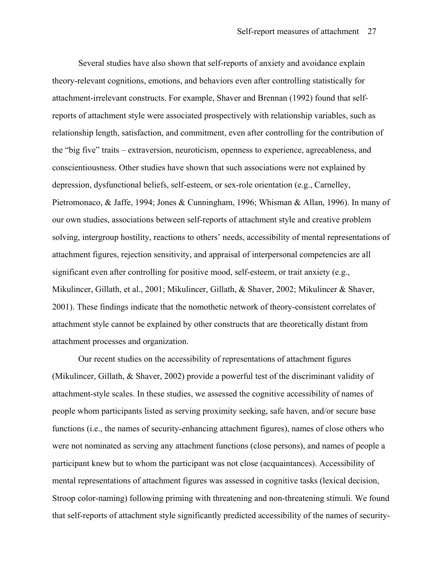Several studies have also shown that self-reports of anxiety and avoidance explain theory-relevant cognitions, emotions, and behaviors even after controlling statistically for attachment-irrelevant constructs. For example, Shaver and Brennan (1992) found that selfreports of attachment style were associated prospectively with relationship variables, such as relationship length, satisfaction, and commitment, even after controlling for the contribution of the "big five" traits – extraversion, neuroticism, openness to experience, agreeableness, and conscientiousness. Other studies have shown that such associations were not explained by depression, dysfunctional beliefs, self-esteem, or sex-role orientation (e.g., Carnelley, Pietromonaco, & Jaffe, 1994; Jones & Cunningham, 1996; Whisman & Allan, 1996). In many of our own studies, associations between self-reports of attachment style and creative problem solving, intergroup hostility, reactions to others' needs, accessibility of mental representations of attachment figures, rejection sensitivity, and appraisal of interpersonal competencies are all significant even after controlling for positive mood, self-esteem, or trait anxiety (e.g., Mikulincer, Gillath, et al., 2001; Mikulincer, Gillath, & Shaver, 2002; Mikulincer & Shaver, 2001). These findings indicate that the nomothetic network of theory-consistent correlates of attachment style cannot be explained by other constructs that are theoretically distant from attachment processes and organization.

Our recent studies on the accessibility of representations of attachment figures (Mikulincer, Gillath, & Shaver, 2002) provide a powerful test of the discriminant validity of attachment-style scales. In these studies, we assessed the cognitive accessibility of names of people whom participants listed as serving proximity seeking, safe haven, and/or secure base functions (i.e., the names of security-enhancing attachment figures), names of close others who were not nominated as serving any attachment functions (close persons), and names of people a participant knew but to whom the participant was not close (acquaintances). Accessibility of mental representations of attachment figures was assessed in cognitive tasks (lexical decision, Stroop color-naming) following priming with threatening and non-threatening stimuli. We found that self-reports of attachment style significantly predicted accessibility of the names of security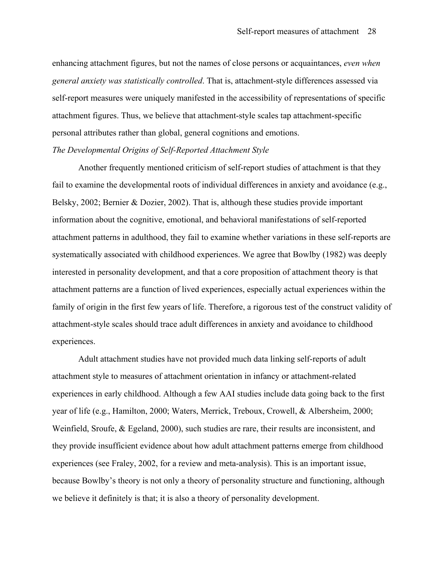enhancing attachment figures, but not the names of close persons or acquaintances, *even when general anxiety was statistically controlled*. That is, attachment-style differences assessed via self-report measures were uniquely manifested in the accessibility of representations of specific attachment figures. Thus, we believe that attachment-style scales tap attachment-specific personal attributes rather than global, general cognitions and emotions.

#### *The Developmental Origins of Self-Reported Attachment Style*

Another frequently mentioned criticism of self-report studies of attachment is that they fail to examine the developmental roots of individual differences in anxiety and avoidance (e.g., Belsky, 2002; Bernier & Dozier, 2002). That is, although these studies provide important information about the cognitive, emotional, and behavioral manifestations of self-reported attachment patterns in adulthood, they fail to examine whether variations in these self-reports are systematically associated with childhood experiences. We agree that Bowlby (1982) was deeply interested in personality development, and that a core proposition of attachment theory is that attachment patterns are a function of lived experiences, especially actual experiences within the family of origin in the first few years of life. Therefore, a rigorous test of the construct validity of attachment-style scales should trace adult differences in anxiety and avoidance to childhood experiences.

Adult attachment studies have not provided much data linking self-reports of adult attachment style to measures of attachment orientation in infancy or attachment-related experiences in early childhood. Although a few AAI studies include data going back to the first year of life (e.g., Hamilton, 2000; Waters, Merrick, Treboux, Crowell, & Albersheim, 2000; Weinfield, Sroufe, & Egeland, 2000), such studies are rare, their results are inconsistent, and they provide insufficient evidence about how adult attachment patterns emerge from childhood experiences (see Fraley, 2002, for a review and meta-analysis). This is an important issue, because Bowlby's theory is not only a theory of personality structure and functioning, although we believe it definitely is that; it is also a theory of personality development.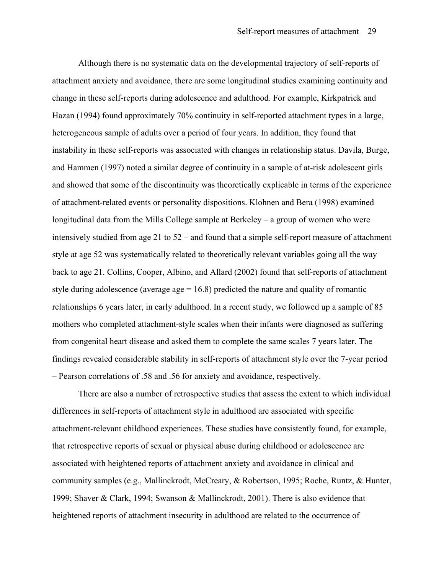Although there is no systematic data on the developmental trajectory of self-reports of attachment anxiety and avoidance, there are some longitudinal studies examining continuity and change in these self-reports during adolescence and adulthood. For example, Kirkpatrick and Hazan (1994) found approximately 70% continuity in self-reported attachment types in a large, heterogeneous sample of adults over a period of four years. In addition, they found that instability in these self-reports was associated with changes in relationship status. Davila, Burge, and Hammen (1997) noted a similar degree of continuity in a sample of at-risk adolescent girls and showed that some of the discontinuity was theoretically explicable in terms of the experience of attachment-related events or personality dispositions. Klohnen and Bera (1998) examined longitudinal data from the Mills College sample at Berkeley – a group of women who were intensively studied from age 21 to 52 – and found that a simple self-report measure of attachment style at age 52 was systematically related to theoretically relevant variables going all the way back to age 21. Collins, Cooper, Albino, and Allard (2002) found that self-reports of attachment style during adolescence (average  $age = 16.8$ ) predicted the nature and quality of romantic relationships 6 years later, in early adulthood. In a recent study, we followed up a sample of 85 mothers who completed attachment-style scales when their infants were diagnosed as suffering from congenital heart disease and asked them to complete the same scales 7 years later. The findings revealed considerable stability in self-reports of attachment style over the 7-year period – Pearson correlations of .58 and .56 for anxiety and avoidance, respectively.

There are also a number of retrospective studies that assess the extent to which individual differences in self-reports of attachment style in adulthood are associated with specific attachment-relevant childhood experiences. These studies have consistently found, for example, that retrospective reports of sexual or physical abuse during childhood or adolescence are associated with heightened reports of attachment anxiety and avoidance in clinical and community samples (e.g., Mallinckrodt, McCreary, & Robertson, 1995; Roche, Runtz, & Hunter, 1999; Shaver & Clark, 1994; Swanson & Mallinckrodt, 2001). There is also evidence that heightened reports of attachment insecurity in adulthood are related to the occurrence of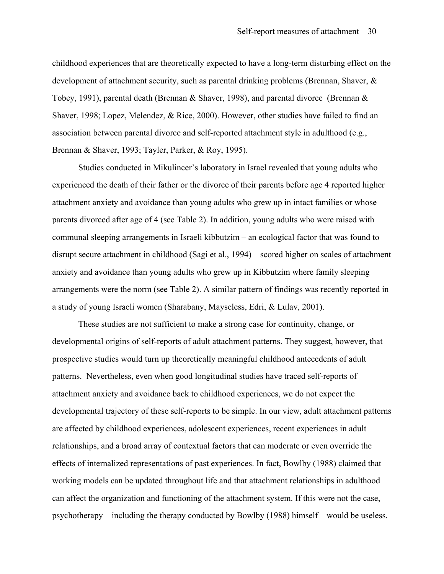childhood experiences that are theoretically expected to have a long-term disturbing effect on the development of attachment security, such as parental drinking problems (Brennan, Shaver, & Tobey, 1991), parental death (Brennan & Shaver, 1998), and parental divorce (Brennan & Shaver, 1998; Lopez, Melendez, & Rice, 2000). However, other studies have failed to find an association between parental divorce and self-reported attachment style in adulthood (e.g., Brennan & Shaver, 1993; Tayler, Parker, & Roy, 1995).

Studies conducted in Mikulincer's laboratory in Israel revealed that young adults who experienced the death of their father or the divorce of their parents before age 4 reported higher attachment anxiety and avoidance than young adults who grew up in intact families or whose parents divorced after age of 4 (see Table 2). In addition, young adults who were raised with communal sleeping arrangements in Israeli kibbutzim – an ecological factor that was found to disrupt secure attachment in childhood (Sagi et al., 1994) – scored higher on scales of attachment anxiety and avoidance than young adults who grew up in Kibbutzim where family sleeping arrangements were the norm (see Table 2). A similar pattern of findings was recently reported in a study of young Israeli women (Sharabany, Mayseless, Edri, & Lulav, 2001).

These studies are not sufficient to make a strong case for continuity, change, or developmental origins of self-reports of adult attachment patterns. They suggest, however, that prospective studies would turn up theoretically meaningful childhood antecedents of adult patterns. Nevertheless, even when good longitudinal studies have traced self-reports of attachment anxiety and avoidance back to childhood experiences, we do not expect the developmental trajectory of these self-reports to be simple. In our view, adult attachment patterns are affected by childhood experiences, adolescent experiences, recent experiences in adult relationships, and a broad array of contextual factors that can moderate or even override the effects of internalized representations of past experiences. In fact, Bowlby (1988) claimed that working models can be updated throughout life and that attachment relationships in adulthood can affect the organization and functioning of the attachment system. If this were not the case, psychotherapy – including the therapy conducted by Bowlby (1988) himself – would be useless.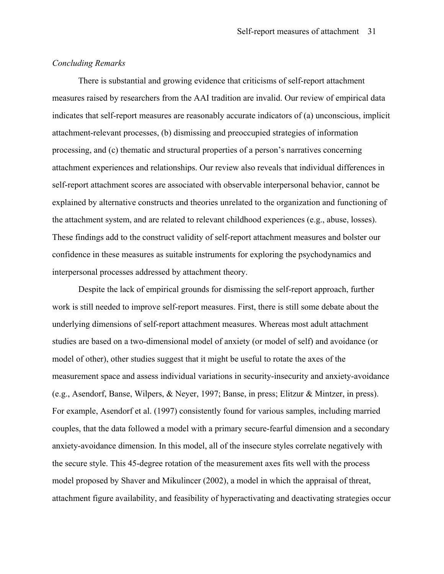#### *Concluding Remarks*

There is substantial and growing evidence that criticisms of self-report attachment measures raised by researchers from the AAI tradition are invalid. Our review of empirical data indicates that self-report measures are reasonably accurate indicators of (a) unconscious, implicit attachment-relevant processes, (b) dismissing and preoccupied strategies of information processing, and (c) thematic and structural properties of a person's narratives concerning attachment experiences and relationships. Our review also reveals that individual differences in self-report attachment scores are associated with observable interpersonal behavior, cannot be explained by alternative constructs and theories unrelated to the organization and functioning of the attachment system, and are related to relevant childhood experiences (e.g., abuse, losses). These findings add to the construct validity of self-report attachment measures and bolster our confidence in these measures as suitable instruments for exploring the psychodynamics and interpersonal processes addressed by attachment theory.

Despite the lack of empirical grounds for dismissing the self-report approach, further work is still needed to improve self-report measures. First, there is still some debate about the underlying dimensions of self-report attachment measures. Whereas most adult attachment studies are based on a two-dimensional model of anxiety (or model of self) and avoidance (or model of other), other studies suggest that it might be useful to rotate the axes of the measurement space and assess individual variations in security-insecurity and anxiety-avoidance (e.g., Asendorf, Banse, Wilpers, & Neyer, 1997; Banse, in press; Elitzur & Mintzer, in press). For example, Asendorf et al. (1997) consistently found for various samples, including married couples, that the data followed a model with a primary secure-fearful dimension and a secondary anxiety-avoidance dimension. In this model, all of the insecure styles correlate negatively with the secure style. This 45-degree rotation of the measurement axes fits well with the process model proposed by Shaver and Mikulincer (2002), a model in which the appraisal of threat, attachment figure availability, and feasibility of hyperactivating and deactivating strategies occur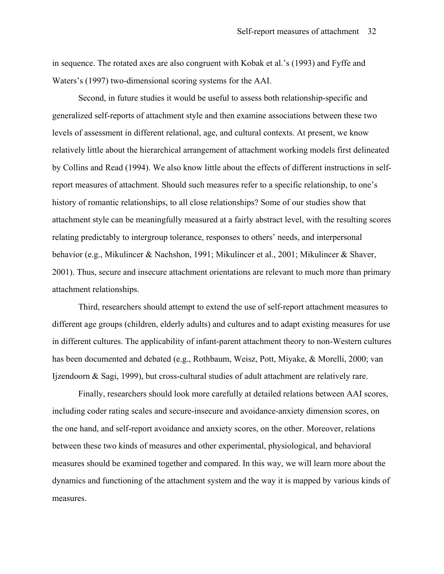in sequence. The rotated axes are also congruent with Kobak et al.'s (1993) and Fyffe and Waters's (1997) two-dimensional scoring systems for the AAI.

Second, in future studies it would be useful to assess both relationship-specific and generalized self-reports of attachment style and then examine associations between these two levels of assessment in different relational, age, and cultural contexts. At present, we know relatively little about the hierarchical arrangement of attachment working models first delineated by Collins and Read (1994). We also know little about the effects of different instructions in selfreport measures of attachment. Should such measures refer to a specific relationship, to one's history of romantic relationships, to all close relationships? Some of our studies show that attachment style can be meaningfully measured at a fairly abstract level, with the resulting scores relating predictably to intergroup tolerance, responses to others' needs, and interpersonal behavior (e.g., Mikulincer & Nachshon, 1991; Mikulincer et al., 2001; Mikulincer & Shaver, 2001). Thus, secure and insecure attachment orientations are relevant to much more than primary attachment relationships.

Third, researchers should attempt to extend the use of self-report attachment measures to different age groups (children, elderly adults) and cultures and to adapt existing measures for use in different cultures. The applicability of infant-parent attachment theory to non-Western cultures has been documented and debated (e.g., Rothbaum, Weisz, Pott, Miyake, & Morelli, 2000; van Ijzendoorn & Sagi, 1999), but cross-cultural studies of adult attachment are relatively rare.

Finally, researchers should look more carefully at detailed relations between AAI scores, including coder rating scales and secure-insecure and avoidance-anxiety dimension scores, on the one hand, and self-report avoidance and anxiety scores, on the other. Moreover, relations between these two kinds of measures and other experimental, physiological, and behavioral measures should be examined together and compared. In this way, we will learn more about the dynamics and functioning of the attachment system and the way it is mapped by various kinds of measures.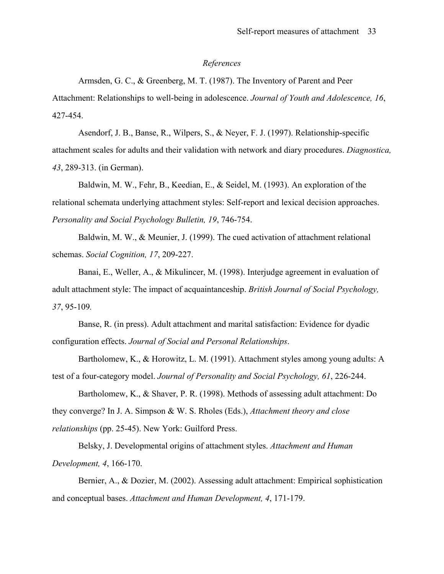#### *References*

Armsden, G. C., & Greenberg, M. T. (1987). The Inventory of Parent and Peer Attachment: Relationships to well-being in adolescence. *Journal of Youth and Adolescence, 16*, 427-454.

Asendorf, J. B., Banse, R., Wilpers, S., & Neyer, F. J. (1997). Relationship-specific attachment scales for adults and their validation with network and diary procedures. *Diagnostica, 43*, 289-313. (in German).

Baldwin, M. W., Fehr, B., Keedian, E., & Seidel, M. (1993). An exploration of the relational schemata underlying attachment styles: Self-report and lexical decision approaches. *Personality and Social Psychology Bulletin, 19*, 746-754.

Baldwin, M. W., & Meunier, J. (1999). The cued activation of attachment relational schemas. *Social Cognition, 17*, 209-227.

Banai, E., Weller, A., & Mikulincer, M. (1998). Interjudge agreement in evaluation of adult attachment style: The impact of acquaintanceship. *British Journal of Social Psychology, 37*, 95-109*.* 

Banse, R. (in press). Adult attachment and marital satisfaction: Evidence for dyadic configuration effects. *Journal of Social and Personal Relationships*.

Bartholomew, K., & Horowitz, L. M. (1991). Attachment styles among young adults: A test of a four-category model. *Journal of Personality and Social Psychology, 61*, 226-244.

Bartholomew, K., & Shaver, P. R. (1998). Methods of assessing adult attachment: Do they converge? In J. A. Simpson & W. S. Rholes (Eds.), *Attachment theory and close relationships* (pp. 25-45). New York: Guilford Press.

Belsky, J. Developmental origins of attachment styles. *Attachment and Human Development, 4*, 166-170.

Bernier, A., & Dozier, M. (2002). Assessing adult attachment: Empirical sophistication and conceptual bases. *Attachment and Human Development, 4*, 171-179.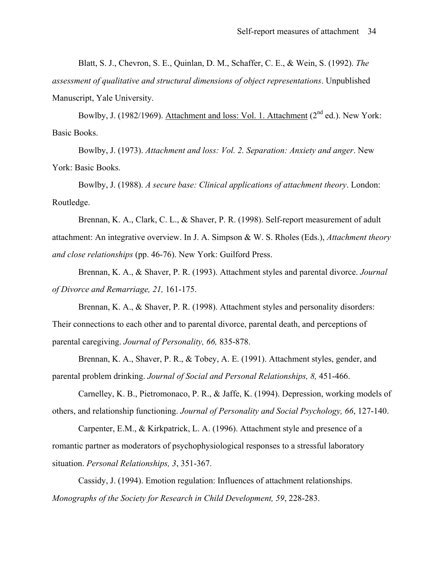Blatt, S. J., Chevron, S. E., Quinlan, D. M., Schaffer, C. E., & Wein, S. (1992). *The* 

*assessment of qualitative and structural dimensions of object representations*. Unpublished Manuscript, Yale University.

Bowlby, J. (1982/1969). Attachment and loss: Vol. 1. Attachment (2<sup>nd</sup> ed.). New York: Basic Books.

Bowlby, J. (1973). *Attachment and loss: Vol. 2. Separation: Anxiety and anger*. New York: Basic Books.

Bowlby, J. (1988). *A secure base: Clinical applications of attachment theory*. London: Routledge.

Brennan, K. A., Clark, C. L., & Shaver, P. R. (1998). Self-report measurement of adult attachment: An integrative overview. In J. A. Simpson & W. S. Rholes (Eds.), *Attachment theory and close relationships* (pp. 46-76). New York: Guilford Press.

Brennan, K. A., & Shaver, P. R. (1993). Attachment styles and parental divorce. *Journal of Divorce and Remarriage, 21,* 161-175.

Brennan, K. A., & Shaver, P. R. (1998). Attachment styles and personality disorders: Their connections to each other and to parental divorce, parental death, and perceptions of parental caregiving. *Journal of Personality, 66,* 835-878.

Brennan, K. A., Shaver, P. R., & Tobey, A. E. (1991). Attachment styles, gender, and parental problem drinking. *Journal of Social and Personal Relationships, 8,* 451-466.

Carnelley, K. B., Pietromonaco, P. R., & Jaffe, K. (1994). Depression, working models of others, and relationship functioning. *Journal of Personality and Social Psychology, 66*, 127-140.

Carpenter, E.M., & Kirkpatrick, L. A. (1996). Attachment style and presence of a romantic partner as moderators of psychophysiological responses to a stressful laboratory situation. *Personal Relationships, 3*, 351-367.

Cassidy, J. (1994). Emotion regulation: Influences of attachment relationships. *Monographs of the Society for Research in Child Development, 59*, 228-283.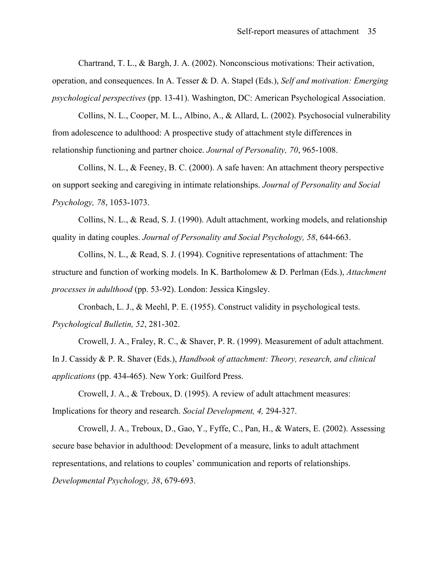Chartrand, T. L., & Bargh, J. A. (2002). Nonconscious motivations: Their activation, operation, and consequences. In A. Tesser & D. A. Stapel (Eds.), *Self and motivation: Emerging psychological perspectives* (pp. 13-41). Washington, DC: American Psychological Association.

Collins, N. L., Cooper, M. L., Albino, A., & Allard, L. (2002). Psychosocial vulnerability from adolescence to adulthood: A prospective study of attachment style differences in relationship functioning and partner choice. *Journal of Personality, 70*, 965-1008.

Collins, N. L., & Feeney, B. C. (2000). A safe haven: An attachment theory perspective on support seeking and caregiving in intimate relationships. *Journal of Personality and Social Psychology, 78*, 1053-1073.

Collins, N. L., & Read, S. J. (1990). Adult attachment, working models, and relationship quality in dating couples. *Journal of Personality and Social Psychology, 58*, 644-663.

Collins, N. L., & Read, S. J. (1994). Cognitive representations of attachment: The structure and function of working models. In K. Bartholomew & D. Perlman (Eds.), *Attachment processes in adulthood* (pp. 53-92). London: Jessica Kingsley.

Cronbach, L. J., & Meehl, P. E. (1955). Construct validity in psychological tests. *Psychological Bulletin, 52*, 281-302.

Crowell, J. A., Fraley, R. C., & Shaver, P. R. (1999). Measurement of adult attachment. In J. Cassidy & P. R. Shaver (Eds.), *Handbook of attachment: Theory, research, and clinical applications* (pp. 434-465). New York: Guilford Press.

Crowell, J. A., & Treboux, D. (1995). A review of adult attachment measures: Implications for theory and research. *Social Development, 4,* 294-327.

Crowell, J. A., Treboux, D., Gao, Y., Fyffe, C., Pan, H., & Waters, E. (2002). Assessing secure base behavior in adulthood: Development of a measure, links to adult attachment representations, and relations to couples' communication and reports of relationships. *Developmental Psychology, 38*, 679-693.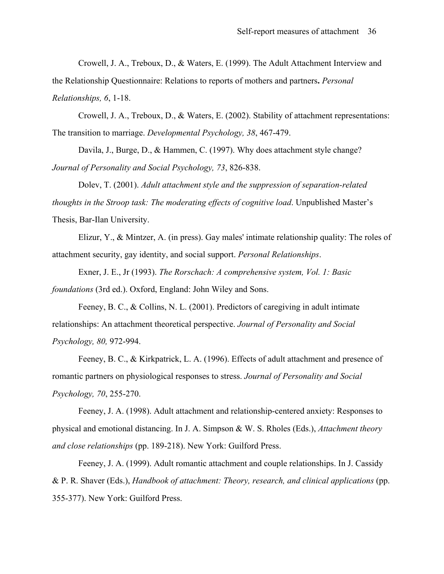Crowell, J. A., Treboux, D., & Waters, E. (1999). The Adult Attachment Interview and the Relationship Questionnaire: Relations to reports of mothers and partners**.** *Personal Relationships, 6*, 1-18.

Crowell, J. A., Treboux, D., & Waters, E. (2002). Stability of attachment representations: The transition to marriage. *Developmental Psychology, 38*, 467-479.

Davila, J., Burge, D., & Hammen, C. (1997). Why does attachment style change? *Journal of Personality and Social Psychology, 73*, 826-838.

Dolev, T. (2001). *Adult attachment style and the suppression of separation-related thoughts in the Stroop task: The moderating effects of cognitive load*. Unpublished Master's Thesis, Bar-Ilan University.

Elizur, Y., & Mintzer, A. (in press). Gay males' intimate relationship quality: The roles of attachment security, gay identity, and social support. *Personal Relationships*.

Exner, J. E., Jr (1993). *The Rorschach: A comprehensive system, Vol. 1: Basic foundations* (3rd ed.). Oxford, England: John Wiley and Sons.

Feeney, B. C., & Collins, N. L. (2001). Predictors of caregiving in adult intimate relationships: An attachment theoretical perspective. *Journal of Personality and Social Psychology, 80,* 972-994.

Feeney, B. C., & Kirkpatrick, L. A. (1996). Effects of adult attachment and presence of romantic partners on physiological responses to stress. *Journal of Personality and Social Psychology, 70*, 255-270.

Feeney, J. A. (1998). Adult attachment and relationship-centered anxiety: Responses to physical and emotional distancing. In J. A. Simpson & W. S. Rholes (Eds.), *Attachment theory and close relationships* (pp. 189-218). New York: Guilford Press.

Feeney, J. A. (1999). Adult romantic attachment and couple relationships. In J. Cassidy & P. R. Shaver (Eds.), *Handbook of attachment: Theory, research, and clinical applications* (pp. 355-377). New York: Guilford Press.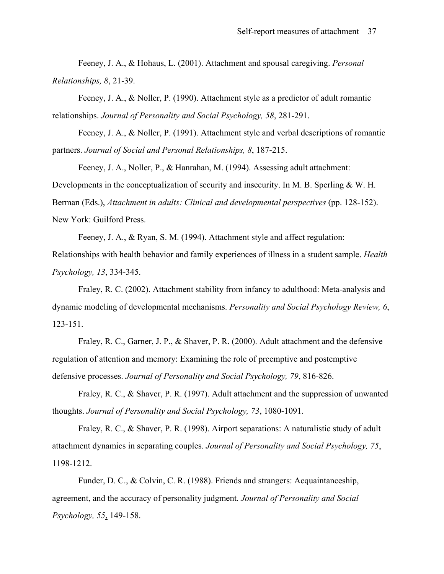Feeney, J. A., & Hohaus, L. (2001). Attachment and spousal caregiving. *Personal Relationships, 8*, 21-39.

Feeney, J. A., & Noller, P. (1990). Attachment style as a predictor of adult romantic relationships. *Journal of Personality and Social Psychology, 58*, 281-291.

Feeney, J. A., & Noller, P. (1991). Attachment style and verbal descriptions of romantic partners. *Journal of Social and Personal Relationships, 8*, 187-215.

Feeney, J. A., Noller, P., & Hanrahan, M. (1994). Assessing adult attachment: Developments in the conceptualization of security and insecurity. In M. B. Sperling & W. H. Berman (Eds.), *Attachment in adults: Clinical and developmental perspectives* (pp. 128-152). New York: Guilford Press.

Feeney, J. A., & Ryan, S. M. (1994). Attachment style and affect regulation:

Relationships with health behavior and family experiences of illness in a student sample. *Health Psychology, 13*, 334-345.

Fraley, R. C. (2002). Attachment stability from infancy to adulthood: Meta-analysis and dynamic modeling of developmental mechanisms. *Personality and Social Psychology Review, 6*, 123-151.

Fraley, R. C., Garner, J. P., & Shaver, P. R. (2000). Adult attachment and the defensive regulation of attention and memory: Examining the role of preemptive and postemptive defensive processes. *Journal of Personality and Social Psychology, 79*, 816-826.

Fraley, R. C., & Shaver, P. R. (1997). Adult attachment and the suppression of unwanted thoughts. *Journal of Personality and Social Psychology, 73*, 1080-1091.

Fraley, R. C., & Shaver, P. R. (1998). Airport separations: A naturalistic study of adult attachment dynamics in separating couples. *Journal of Personality and Social Psychology, 75*, 1198-1212.

Funder, D. C., & Colvin, C. R. (1988). Friends and strangers: Acquaintanceship, agreement, and the accuracy of personality judgment. *Journal of Personality and Social Psychology, 55*, 149-158.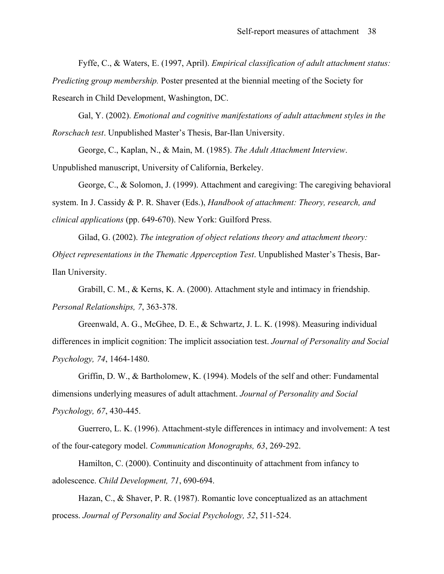Fyffe, C., & Waters, E. (1997, April). *Empirical classification of adult attachment status: Predicting group membership.* Poster presented at the biennial meeting of the Society for Research in Child Development, Washington, DC.

Gal, Y. (2002). *Emotional and cognitive manifestations of adult attachment styles in the Rorschach test*. Unpublished Master's Thesis, Bar-Ilan University.

George, C., Kaplan, N., & Main, M. (1985). *The Adult Attachment Interview*. Unpublished manuscript, University of California, Berkeley.

George, C., & Solomon, J. (1999). Attachment and caregiving: The caregiving behavioral system. In J. Cassidy & P. R. Shaver (Eds.), *Handbook of attachment: Theory, research, and clinical applications* (pp. 649-670). New York: Guilford Press.

Gilad, G. (2002). *The integration of object relations theory and attachment theory: Object representations in the Thematic Apperception Test*. Unpublished Master's Thesis, Bar-Ilan University.

Grabill, C. M., & Kerns, K. A. (2000). Attachment style and intimacy in friendship. *Personal Relationships, 7*, 363-378.

Greenwald, A. G., McGhee, D. E., & Schwartz, J. L. K. (1998). Measuring individual differences in implicit cognition: The implicit association test. *Journal of Personality and Social Psychology, 74*, 1464-1480.

Griffin, D. W., & Bartholomew, K. (1994). Models of the self and other: Fundamental dimensions underlying measures of adult attachment. *Journal of Personality and Social Psychology, 67*, 430-445.

Guerrero, L. K. (1996). Attachment-style differences in intimacy and involvement: A test of the four-category model. *Communication Monographs, 63*, 269-292.

Hamilton, C. (2000). Continuity and discontinuity of attachment from infancy to adolescence. *Child Development, 71*, 690-694.

Hazan, C., & Shaver, P. R. (1987). Romantic love conceptualized as an attachment process. *Journal of Personality and Social Psychology, 52*, 511-524.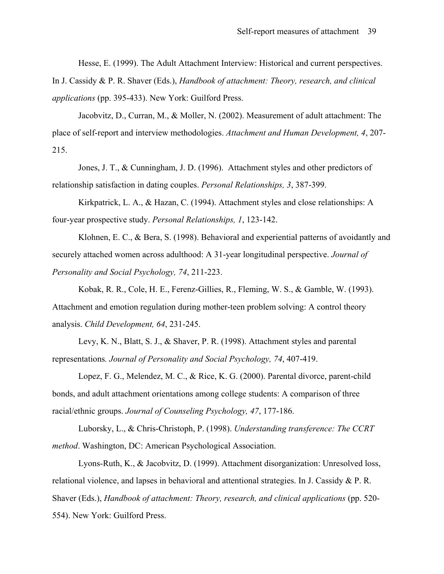Hesse, E. (1999). The Adult Attachment Interview: Historical and current perspectives.

In J. Cassidy & P. R. Shaver (Eds.), *Handbook of attachment: Theory, research, and clinical applications* (pp. 395-433). New York: Guilford Press.

Jacobvitz, D., Curran, M., & Moller, N. (2002). Measurement of adult attachment: The place of self-report and interview methodologies. *Attachment and Human Development, 4*, 207- 215.

Jones, J. T., & Cunningham, J. D. (1996). Attachment styles and other predictors of relationship satisfaction in dating couples. *Personal Relationships, 3*, 387-399.

Kirkpatrick, L. A., & Hazan, C. (1994). Attachment styles and close relationships: A four-year prospective study. *Personal Relationships, 1*, 123-142.

Klohnen, E. C., & Bera, S. (1998). Behavioral and experiential patterns of avoidantly and securely attached women across adulthood: A 31-year longitudinal perspective. *Journal of Personality and Social Psychology, 74*, 211-223.

Kobak, R. R., Cole, H. E., Ferenz-Gillies, R., Fleming, W. S., & Gamble, W. (1993). Attachment and emotion regulation during mother-teen problem solving: A control theory analysis. *Child Development, 64*, 231-245.

Levy, K. N., Blatt, S. J., & Shaver, P. R. (1998). Attachment styles and parental representations*. Journal of Personality and Social Psychology, 74*, 407-419.

Lopez, F. G., Melendez, M. C., & Rice, K. G. (2000). Parental divorce, parent-child bonds, and adult attachment orientations among college students: A comparison of three racial/ethnic groups. *Journal of Counseling Psychology, 47*, 177-186.

Luborsky, L., & Chris-Christoph, P. (1998). *Understanding transference: The CCRT method*. Washington, DC: American Psychological Association.

Lyons-Ruth, K., & Jacobvitz, D. (1999). Attachment disorganization: Unresolved loss, relational violence, and lapses in behavioral and attentional strategies. In J. Cassidy & P. R. Shaver (Eds.), *Handbook of attachment: Theory, research, and clinical applications* (pp. 520- 554). New York: Guilford Press.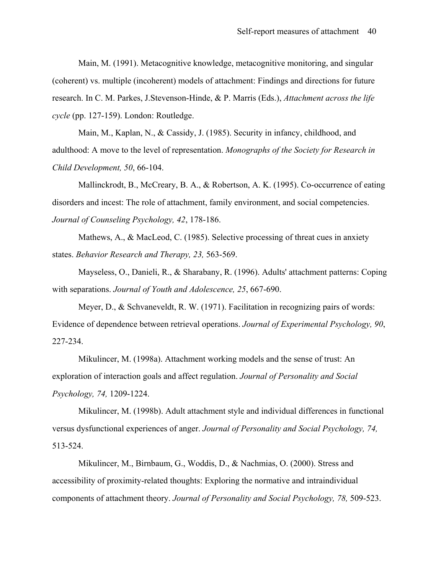Main, M. (1991). Metacognitive knowledge, metacognitive monitoring, and singular (coherent) vs. multiple (incoherent) models of attachment: Findings and directions for future research. In C. M. Parkes, J.Stevenson-Hinde, & P. Marris (Eds.), *Attachment across the life cycle* (pp. 127-159). London: Routledge.

Main, M., Kaplan, N., & Cassidy, J. (1985). Security in infancy, childhood, and adulthood: A move to the level of representation. *Monographs of the Society for Research in Child Development, 50*, 66-104.

Mallinckrodt, B., McCreary, B. A., & Robertson, A. K. (1995). Co-occurrence of eating disorders and incest: The role of attachment, family environment, and social competencies. *Journal of Counseling Psychology, 42*, 178-186.

Mathews, A., & MacLeod, C. (1985). Selective processing of threat cues in anxiety states. *Behavior Research and Therapy, 23,* 563-569.

Mayseless, O., Danieli, R., & Sharabany, R. (1996). Adults' attachment patterns: Coping with separations. *Journal of Youth and Adolescence, 25*, 667-690.

Meyer, D., & Schvaneveldt, R. W. (1971). Facilitation in recognizing pairs of words: Evidence of dependence between retrieval operations. *Journal of Experimental Psychology, 90*, 227-234.

Mikulincer, M. (1998a). Attachment working models and the sense of trust: An exploration of interaction goals and affect regulation. *Journal of Personality and Social Psychology, 74,* 1209-1224.

Mikulincer, M. (1998b). Adult attachment style and individual differences in functional versus dysfunctional experiences of anger. *Journal of Personality and Social Psychology, 74,* 513-524.

Mikulincer, M., Birnbaum, G., Woddis, D., & Nachmias, O. (2000). Stress and accessibility of proximity-related thoughts: Exploring the normative and intraindividual components of attachment theory. *Journal of Personality and Social Psychology, 78,* 509-523.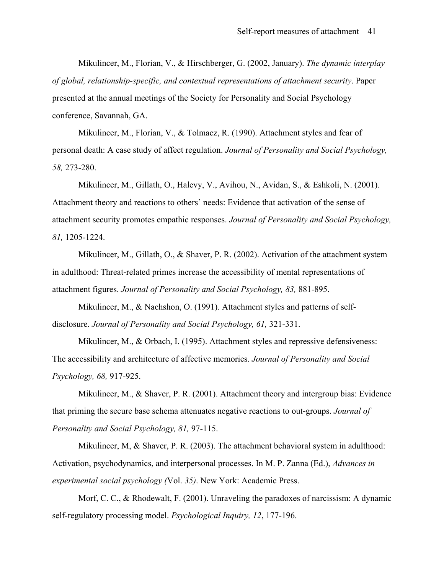Mikulincer, M., Florian, V., & Hirschberger, G. (2002, January). *The dynamic interplay of global, relationship-specific, and contextual representations of attachment security*. Paper presented at the annual meetings of the Society for Personality and Social Psychology conference, Savannah, GA.

Mikulincer, M., Florian, V., & Tolmacz, R. (1990). Attachment styles and fear of personal death: A case study of affect regulation. *Journal of Personality and Social Psychology, 58,* 273-280.

Mikulincer, M., Gillath, O., Halevy, V., Avihou, N., Avidan, S., & Eshkoli, N. (2001). Attachment theory and reactions to others' needs: Evidence that activation of the sense of attachment security promotes empathic responses. *Journal of Personality and Social Psychology, 81,* 1205-1224.

Mikulincer, M., Gillath, O., & Shaver, P. R. (2002). Activation of the attachment system in adulthood: Threat-related primes increase the accessibility of mental representations of attachment figures. *Journal of Personality and Social Psychology, 83,* 881-895.

Mikulincer, M., & Nachshon, O. (1991). Attachment styles and patterns of selfdisclosure. *Journal of Personality and Social Psychology, 61,* 321-331.

Mikulincer, M., & Orbach, I. (1995). Attachment styles and repressive defensiveness: The accessibility and architecture of affective memories. *Journal of Personality and Social Psychology, 68,* 917-925.

Mikulincer, M., & Shaver, P. R. (2001). Attachment theory and intergroup bias: Evidence that priming the secure base schema attenuates negative reactions to out-groups. *Journal of Personality and Social Psychology, 81,* 97-115.

Mikulincer, M, & Shaver, P. R. (2003). The attachment behavioral system in adulthood: Activation, psychodynamics, and interpersonal processes. In M. P. Zanna (Ed.), *Advances in experimental social psychology (*Vol. *35)*. New York: Academic Press.

Morf, C. C., & Rhodewalt, F. (2001). Unraveling the paradoxes of narcissism: A dynamic self-regulatory processing model. *Psychological Inquiry, 12*, 177-196.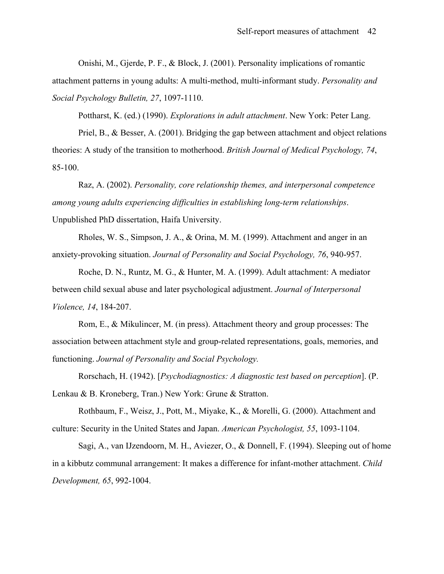Onishi, M., Gjerde, P. F., & Block, J. (2001). Personality implications of romantic attachment patterns in young adults: A multi-method, multi-informant study. *Personality and Social Psychology Bulletin, 27*, 1097-1110.

Pottharst, K. (ed.) (1990). *Explorations in adult attachment*. New York: Peter Lang.

Priel, B., & Besser, A. (2001). Bridging the gap between attachment and object relations theories: A study of the transition to motherhood. *British Journal of Medical Psychology, 74*, 85-100.

Raz, A. (2002). *Personality, core relationship themes, and interpersonal competence among young adults experiencing difficulties in establishing long-term relationships*. Unpublished PhD dissertation, Haifa University.

Rholes, W. S., Simpson, J. A., & Orina, M. M. (1999). Attachment and anger in an anxiety-provoking situation. *Journal of Personality and Social Psychology, 76*, 940-957.

Roche, D. N., Runtz, M. G., & Hunter, M. A. (1999). Adult attachment: A mediator between child sexual abuse and later psychological adjustment. *Journal of Interpersonal Violence, 14*, 184-207.

Rom, E., & Mikulincer, M. (in press). Attachment theory and group processes: The association between attachment style and group-related representations, goals, memories, and functioning. *Journal of Personality and Social Psychology.*

Rorschach, H. (1942). [*Psychodiagnostics: A diagnostic test based on perception*]. (P. Lenkau & B. Kroneberg, Tran.) New York: Grune & Stratton.

Rothbaum, F., Weisz, J., Pott, M., Miyake, K., & Morelli, G. (2000). Attachment and culture: Security in the United States and Japan. *American Psychologist, 55*, 1093-1104.

Sagi, A., van IJzendoorn, M. H., Aviezer, O., & Donnell, F. (1994). Sleeping out of home in a kibbutz communal arrangement: It makes a difference for infant-mother attachment. *Child Development, 65*, 992-1004.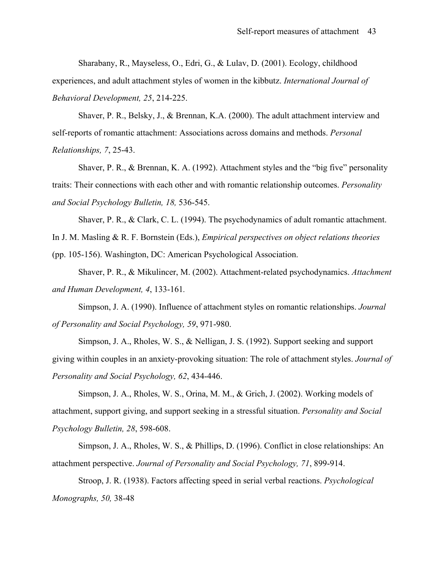Sharabany, R., Mayseless, O., Edri, G., & Lulav, D. (2001). Ecology, childhood experiences, and adult attachment styles of women in the kibbutz. *International Journal of Behavioral Development, 25*, 214-225.

Shaver, P. R., Belsky, J., & Brennan, K.A. (2000). The adult attachment interview and self-reports of romantic attachment: Associations across domains and methods. *Personal Relationships, 7*, 25-43.

Shaver, P. R., & Brennan, K. A. (1992). Attachment styles and the "big five" personality traits: Their connections with each other and with romantic relationship outcomes. *Personality and Social Psychology Bulletin, 18,* 536-545.

Shaver, P. R., & Clark, C. L. (1994). The psychodynamics of adult romantic attachment.

In J. M. Masling & R. F. Bornstein (Eds.), *Empirical perspectives on object relations theories*

(pp. 105-156). Washington, DC: American Psychological Association.

Shaver, P. R., & Mikulincer, M. (2002). Attachment-related psychodynamics. *Attachment and Human Development, 4*, 133-161*.* 

Simpson, J. A. (1990). Influence of attachment styles on romantic relationships. *Journal of Personality and Social Psychology, 59*, 971-980.

Simpson, J. A., Rholes, W. S., & Nelligan, J. S. (1992). Support seeking and support giving within couples in an anxiety-provoking situation: The role of attachment styles. *Journal of Personality and Social Psychology, 62*, 434-446.

Simpson, J. A., Rholes, W. S., Orina, M. M., & Grich, J. (2002). Working models of attachment, support giving, and support seeking in a stressful situation. *Personality and Social Psychology Bulletin, 28*, 598-608.

Simpson, J. A., Rholes, W. S., & Phillips, D. (1996). Conflict in close relationships: An attachment perspective. *Journal of Personality and Social Psychology, 71*, 899-914.

Stroop, J. R. (1938). Factors affecting speed in serial verbal reactions. *Psychological Monographs, 50,* 38-48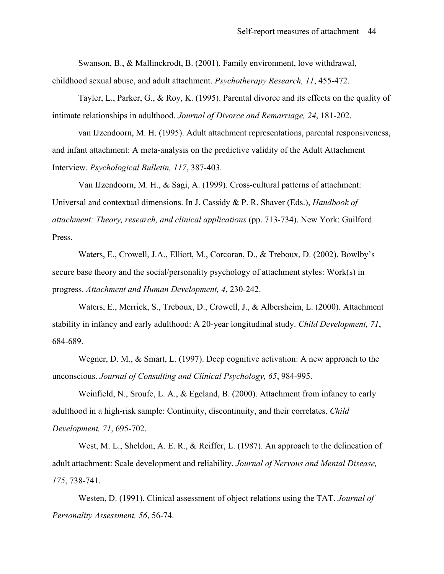Swanson, B., & Mallinckrodt, B. (2001). Family environment, love withdrawal, childhood sexual abuse, and adult attachment. *Psychotherapy Research, 11*, 455-472.

Tayler, L., Parker, G., & Roy, K. (1995). Parental divorce and its effects on the quality of intimate relationships in adulthood. *Journal of Divorce and Remarriage, 24*, 181-202.

van IJzendoorn, M. H. (1995). Adult attachment representations, parental responsiveness, and infant attachment: A meta-analysis on the predictive validity of the Adult Attachment Interview. *Psychological Bulletin, 117*, 387-403.

Van IJzendoorn, M. H., & Sagi, A. (1999). Cross-cultural patterns of attachment: Universal and contextual dimensions. In J. Cassidy & P. R. Shaver (Eds.), *Handbook of attachment: Theory, research, and clinical applications* (pp. 713-734). New York: Guilford Press.

Waters, E., Crowell, J.A., Elliott, M., Corcoran, D., & Treboux, D. (2002). Bowlby's secure base theory and the social/personality psychology of attachment styles: Work(s) in progress. *Attachment and Human Development, 4*, 230-242.

Waters, E., Merrick, S., Treboux, D., Crowell, J., & Albersheim, L. (2000). Attachment stability in infancy and early adulthood: A 20-year longitudinal study. *Child Development, 71*, 684-689.

Wegner, D. M., & Smart, L. (1997). Deep cognitive activation: A new approach to the unconscious. *Journal of Consulting and Clinical Psychology, 65*, 984-995.

Weinfield, N., Sroufe, L. A., & Egeland, B. (2000). Attachment from infancy to early adulthood in a high-risk sample: Continuity, discontinuity, and their correlates. *Child Development, 71*, 695-702.

West, M. L., Sheldon, A. E. R., & Reiffer, L. (1987). An approach to the delineation of adult attachment: Scale development and reliability. *Journal of Nervous and Mental Disease, 175*, 738-741.

Westen, D. (1991). Clinical assessment of object relations using the TAT. *Journal of Personality Assessment, 56*, 56-74.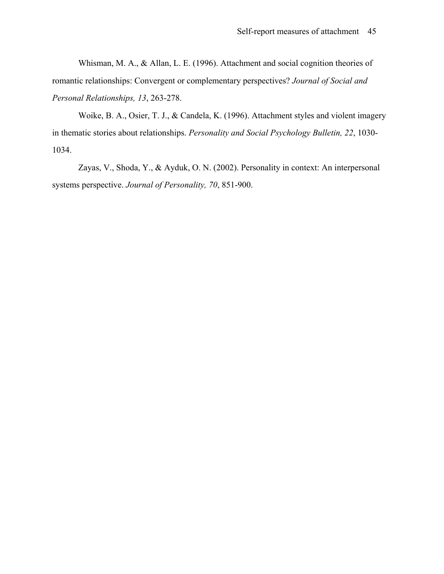Whisman, M. A., & Allan, L. E. (1996). Attachment and social cognition theories of romantic relationships: Convergent or complementary perspectives? *Journal of Social and Personal Relationships, 13*, 263-278.

Woike, B. A., Osier, T. J., & Candela, K. (1996). Attachment styles and violent imagery in thematic stories about relationships. *Personality and Social Psychology Bulletin, 22*, 1030- 1034.

Zayas, V., Shoda, Y., & Ayduk, O. N. (2002). Personality in context: An interpersonal systems perspective. *Journal of Personality, 70*, 851-900.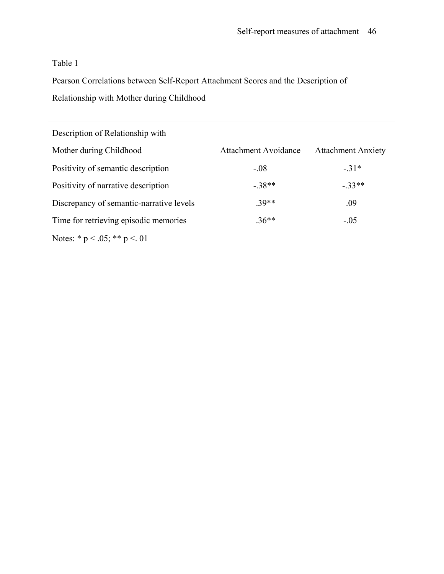## Table 1

Pearson Correlations between Self-Report Attachment Scores and the Description of Relationship with Mother during Childhood

| Description of Relationship with         |                             |                           |  |
|------------------------------------------|-----------------------------|---------------------------|--|
| Mother during Childhood                  | <b>Attachment Avoidance</b> | <b>Attachment Anxiety</b> |  |
| Positivity of semantic description       | $-.08$                      | $-31*$                    |  |
| Positivity of narrative description      | $-38**$                     | $-33**$                   |  |
| Discrepancy of semantic-narrative levels | 39**                        | .09                       |  |
| Time for retrieving episodic memories    | $.36**$                     | $-.05$                    |  |

Notes: \* p < .05; \*\* p <. 01